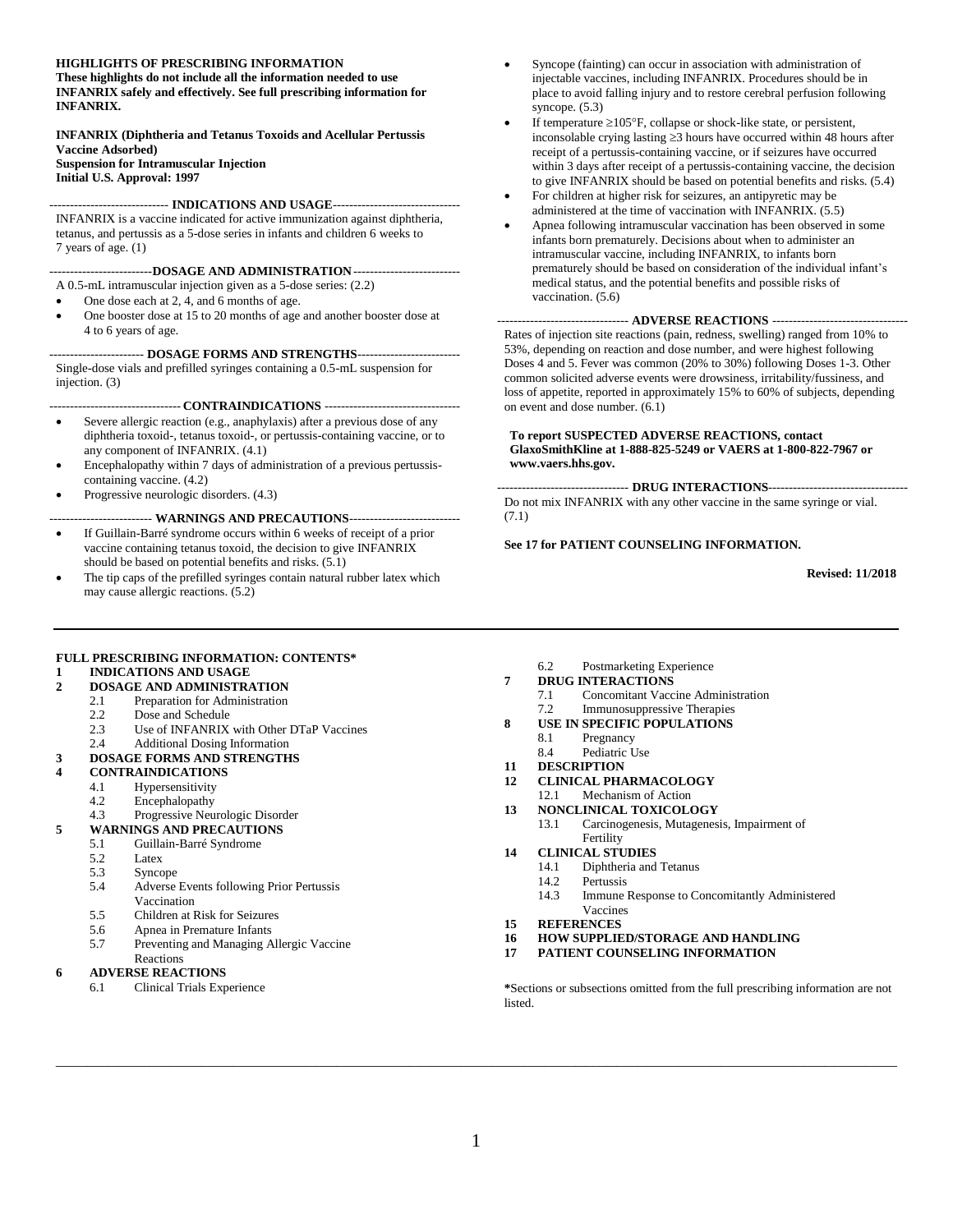#### **HIGHLIGHTS OF PRESCRIBING INFORMATION**

**These highlights do not include all the information needed to use INFANRIX safely and effectively. See full prescribing information for INFANRIX.**

**INFANRIX (Diphtheria and Tetanus Toxoids and Acellular Pertussis Vaccine Adsorbed) Suspension for Intramuscular Injection Initial U.S. Approval: 1997**

----------------------------- **INDICATIONS AND USAGE**-------------------------------

INFANRIX is a vaccine indicated for active immunization against diphtheria, tetanus, and pertussis as a 5-dose series in infants and children 6 weeks to 7 years of age. (1)

#### -------------------------**DOSAGE AND ADMINISTRATION**--------------------------

A 0.5-mL intramuscular injection given as a 5-dose series: (2.2)

- One dose each at 2, 4, and 6 months of age.
- One booster dose at 15 to 20 months of age and another booster dose at 4 to 6 years of age.

#### ----------------------- **DOSAGE FORMS AND STRENGTHS**-------------------------

Single-dose vials and prefilled syringes containing a 0.5-mL suspension for injection. (3)

#### -------------------------------- **CONTRAINDICATIONS** ---------------------------------

- Severe allergic reaction (e.g., anaphylaxis) after a previous dose of any diphtheria toxoid-, tetanus toxoid-, or pertussis-containing vaccine, or to any component of INFANRIX. (4.1)
- Encephalopathy within 7 days of administration of a previous pertussiscontaining vaccine. (4.2)
- Progressive neurologic disorders. (4.3)

#### ------------------------- **WARNINGS AND PRECAUTIONS**---------------------------

- If Guillain-Barré syndrome occurs within 6 weeks of receipt of a prior vaccine containing tetanus toxoid, the decision to give INFANRIX should be based on potential benefits and risks. (5.1)
- The tip caps of the prefilled syringes contain natural rubber latex which may cause allergic reactions. (5.2)
- Syncope (fainting) can occur in association with administration of injectable vaccines, including INFANRIX. Procedures should be in place to avoid falling injury and to restore cerebral perfusion following syncope. (5.3)
- If temperature  $\geq 105^{\circ}F$ , collapse or shock-like state, or persistent, inconsolable crying lasting  $\geq$ 3 hours have occurred within 48 hours after receipt of a pertussis-containing vaccine, or if seizures have occurred within 3 days after receipt of a pertussis-containing vaccine, the decision to give INFANRIX should be based on potential benefits and risks. (5.4)
- For children at higher risk for seizures, an antipyretic may be administered at the time of vaccination with INFANRIX. (5.5)
- Apnea following intramuscular vaccination has been observed in some infants born prematurely. Decisions about when to administer an intramuscular vaccine, including INFANRIX, to infants born prematurely should be based on consideration of the individual infant's medical status, and the potential benefits and possible risks of vaccination. (5.6)

#### -------------------------------- **ADVERSE REACTIONS** ---------------------------------

Rates of injection site reactions (pain, redness, swelling) ranged from 10% to 53%, depending on reaction and dose number, and were highest following Doses 4 and 5. Fever was common (20% to 30%) following Doses 1-3. Other common solicited adverse events were drowsiness, irritability/fussiness, and loss of appetite, reported in approximately 15% to 60% of subjects, depending on event and dose number. (6.1)

#### **To report SUSPECTED ADVERSE REACTIONS, contact GlaxoSmithKline at 1-888-825-5249 or VAERS at 1-800-822-7967 or www.vaers.hhs.gov.**

-------------------------------- **DRUG INTERACTIONS**----------------------------------

Do not mix INFANRIX with any other vaccine in the same syringe or vial. (7.1)

#### **See 17 for PATIENT COUNSELING INFORMATION.**

**Revised: 11/2018**

#### **FULL PRESCRIBING INFORMATION: CONTENTS\***

#### **1 [INDICATIONS AND USAGE](#page-1-0)**

- **2 [DOSAGE AND ADMINISTRATION](#page-1-1)**
	- 2.1 [Preparation for Administration](#page-1-2)
		- 2.2 [Dose and Schedule](#page-1-3)
		- 2.3 [Use of INFANRIX with Other DTaP Vaccines](#page-1-4)
	- 2.4 [Additional Dosing Information](#page-2-0)
- **3 [DOSAGE FORMS AND STRENGTHS](#page-2-1)**
- **4 [CONTRAINDICATIONS](#page-2-2)**
	- 4.1 [Hypersensitivity](#page-2-3)
	- 4.2 [Encephalopathy](#page-2-4)
	- 4.3 [Progressive Neurologic Disorder](#page-2-5)

#### **5 [WARNINGS AND PRECAUTIONS](#page-2-6)**

- 5.1 [Guillain-Barré Syndrome](#page-2-7)
	- 5.2 [Latex](#page-2-8)
	- 5.3 [Syncope](#page-3-0)
	- 5.4 [Adverse Events following Prior Pertussis](#page-3-1)  [Vaccination](#page-3-1)
	- 5.5 [Children at Risk for Seizures](#page-3-2)
	- 5.6 [Apnea in Premature Infants](#page-3-3)
	- 5.7 [Preventing and Managing Allergic Vaccine](#page-3-4)

#### [Reactions](#page-3-4)

#### **6 [ADVERSE REACTIONS](#page-3-5)**

6.1 [Clinical Trials Experience](#page-3-6)

6.2 [Postmarketing Experience](#page-11-0)

#### **7 [DRUG INTERACTIONS](#page-12-0)**

- 7.1 [Concomitant Vaccine Administration](#page-12-1)
- 7.2 [Immunosuppressive Therapies](#page-12-2)
- **8 [USE IN SPECIFIC POPULATIONS](#page-12-3)**
	- 8.1 [Pregnancy](#page-12-4)
	- 8.4 [Pediatric Use](#page-12-5)
- **11 [DESCRIPTION](#page-12-6)**
- **12 [CLINICAL PHARMACOLOGY](#page-13-0)**
- 12.1 [Mechanism of Action](#page-13-1)
- **13 [NONCLINICAL TOXICOLOGY](#page-14-0)**
	- 13.1 [Carcinogenesis, Mutagenesis, Impairment of](#page-14-1)  [Fertility](#page-14-1)
- **14 [CLINICAL STUDIES](#page-14-2)**
	- 14.1 [Diphtheria and Tetanus](#page-14-3)
	- 14.2 [Pertussis](#page-14-4)<br>14.3 Immune 1
	- Immune Response to Concomitantly Administered [Vaccines](#page-15-0)
- **15 [REFERENCES](#page-16-0)**
- **16 [HOW SUPPLIED/STORAGE](#page-16-1) AND HANDLING**
- **17 [PATIENT COUNSELING INFORMATION](#page-16-2)**

**\***Sections or subsections omitted from the full prescribing information are not listed.

**\_\_\_\_\_\_\_\_\_\_\_\_\_\_\_\_\_\_\_\_\_\_\_\_\_\_\_\_\_\_\_\_\_\_\_\_\_\_\_\_\_\_\_\_\_\_\_\_\_\_\_\_\_\_\_\_\_\_\_\_\_\_\_\_\_\_\_\_\_\_\_\_\_\_\_\_\_\_\_\_\_**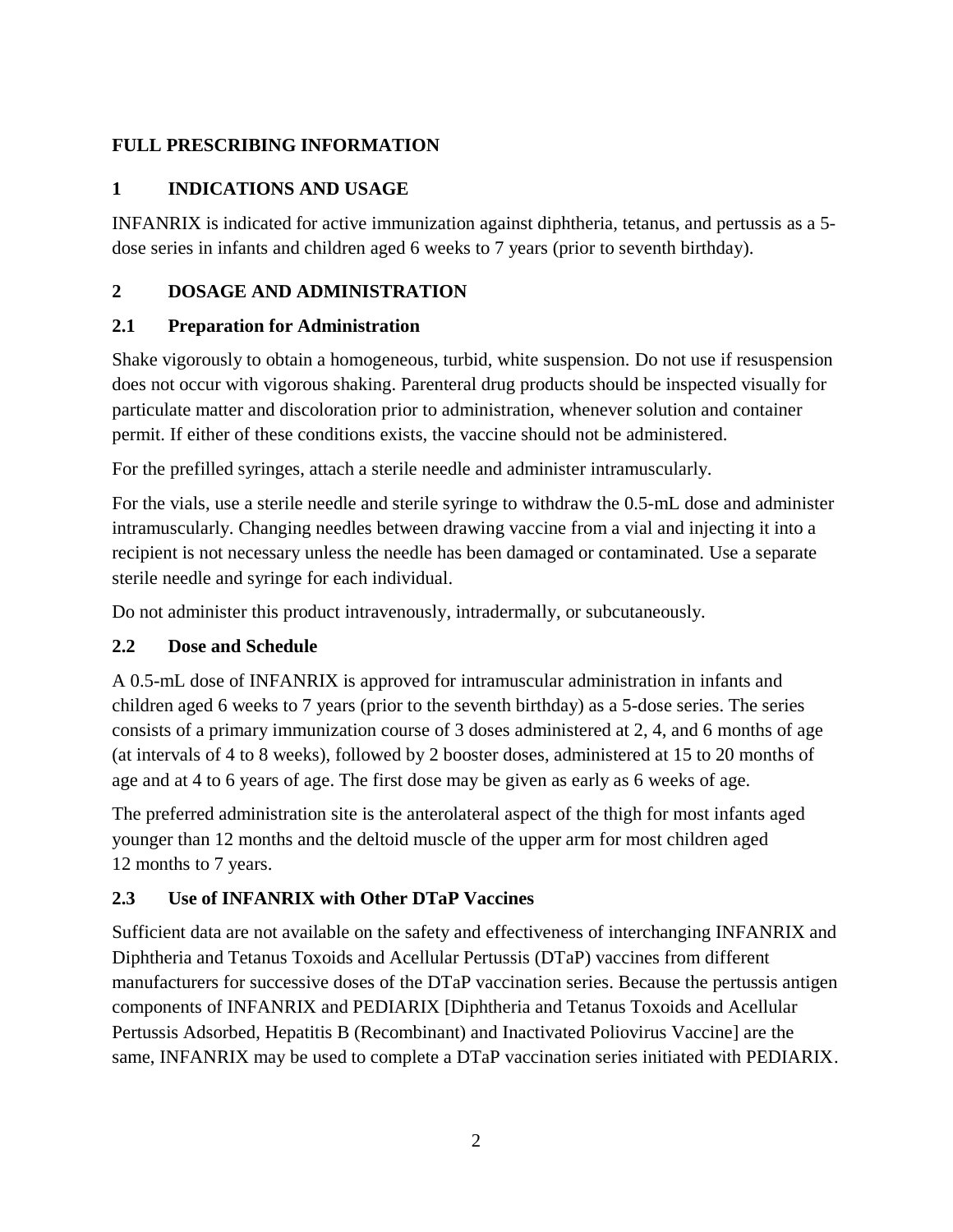## <span id="page-1-0"></span>**FULL PRESCRIBING INFORMATION**

## **1 INDICATIONS AND USAGE**

INFANRIX is indicated for active immunization against diphtheria, tetanus, and pertussis as a 5 dose series in infants and children aged 6 weeks to 7 years (prior to seventh birthday).

## <span id="page-1-1"></span>**2 DOSAGE AND ADMINISTRATION**

## <span id="page-1-2"></span>**2.1 Preparation for Administration**

Shake vigorously to obtain a homogeneous, turbid, white suspension. Do not use if resuspension does not occur with vigorous shaking. Parenteral drug products should be inspected visually for particulate matter and discoloration prior to administration, whenever solution and container permit. If either of these conditions exists, the vaccine should not be administered.

For the prefilled syringes, attach a sterile needle and administer intramuscularly.

For the vials, use a sterile needle and sterile syringe to withdraw the 0.5-mL dose and administer intramuscularly. Changing needles between drawing vaccine from a vial and injecting it into a recipient is not necessary unless the needle has been damaged or contaminated. Use a separate sterile needle and syringe for each individual.

Do not administer this product intravenously, intradermally, or subcutaneously.

## <span id="page-1-3"></span>**2.2 Dose and Schedule**

A 0.5-mL dose of INFANRIX is approved for intramuscular administration in infants and children aged 6 weeks to 7 years (prior to the seventh birthday) as a 5-dose series. The series consists of a primary immunization course of 3 doses administered at 2, 4, and 6 months of age (at intervals of 4 to 8 weeks), followed by 2 booster doses, administered at 15 to 20 months of age and at 4 to 6 years of age. The first dose may be given as early as 6 weeks of age.

The preferred administration site is the anterolateral aspect of the thigh for most infants aged younger than 12 months and the deltoid muscle of the upper arm for most children aged 12 months to 7 years.

## <span id="page-1-4"></span>**2.3 Use of INFANRIX with Other DTaP Vaccines**

Sufficient data are not available on the safety and effectiveness of interchanging INFANRIX and Diphtheria and Tetanus Toxoids and Acellular Pertussis (DTaP) vaccines from different manufacturers for successive doses of the DTaP vaccination series. Because the pertussis antigen components of INFANRIX and PEDIARIX [Diphtheria and Tetanus Toxoids and Acellular Pertussis Adsorbed, Hepatitis B (Recombinant) and Inactivated Poliovirus Vaccine] are the same, INFANRIX may be used to complete a DTaP vaccination series initiated with PEDIARIX.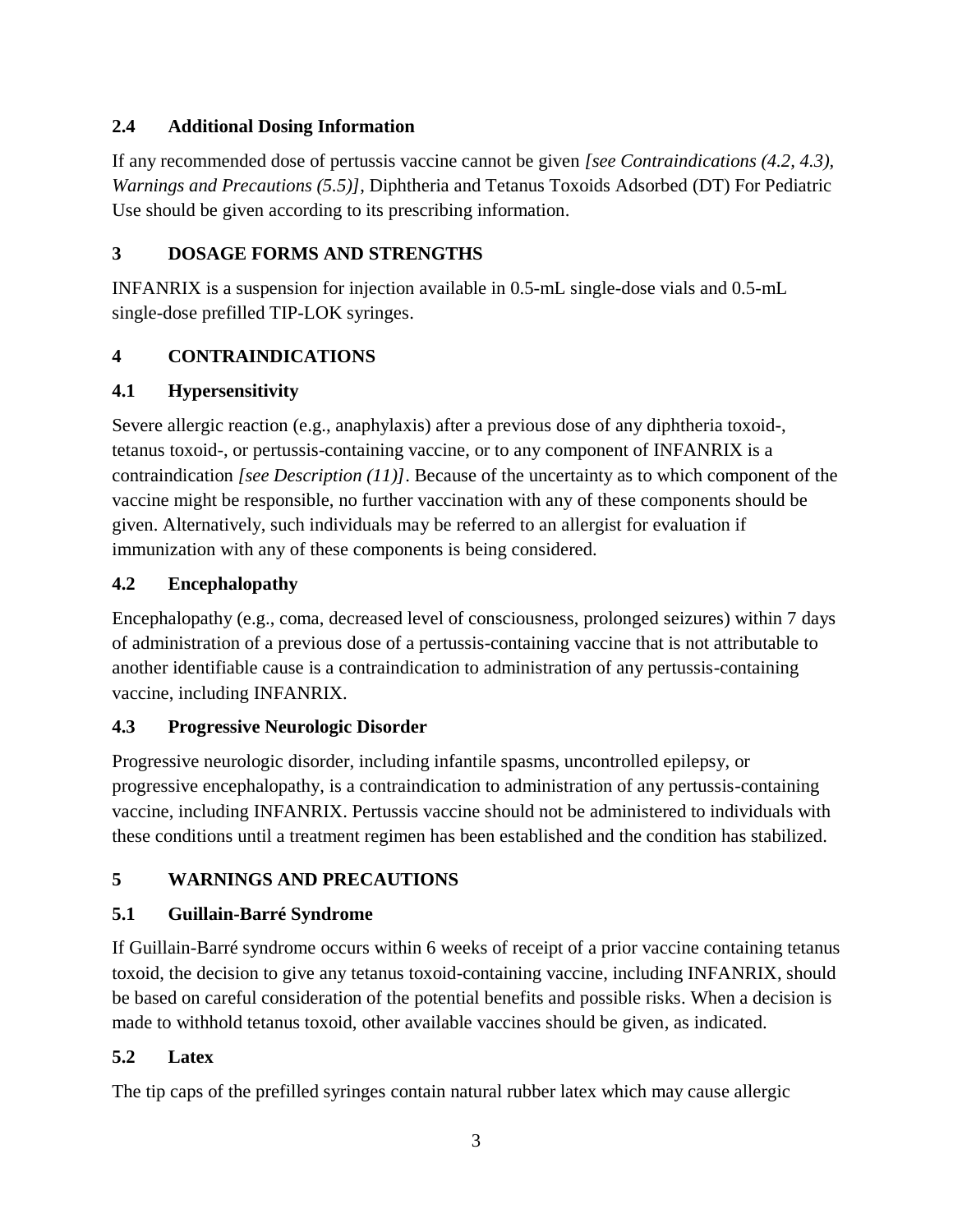### <span id="page-2-0"></span>**2.4 Additional Dosing Information**

If any recommended dose of pertussis vaccine cannot be given *[see Contraindications (4.2, 4.3), Warnings and Precautions (5.5)]*, Diphtheria and Tetanus Toxoids Adsorbed (DT) For Pediatric Use should be given according to its prescribing information.

### <span id="page-2-1"></span>**3 DOSAGE FORMS AND STRENGTHS**

INFANRIX is a suspension for injection available in 0.5-mL single-dose vials and 0.5-mL single-dose prefilled TIP-LOK syringes.

## <span id="page-2-2"></span>**4 CONTRAINDICATIONS**

## <span id="page-2-3"></span>**4.1 Hypersensitivity**

Severe allergic reaction (e.g., anaphylaxis) after a previous dose of any diphtheria toxoid-, tetanus toxoid-, or pertussis-containing vaccine, or to any component of INFANRIX is a contraindication *[see Description (11)]*. Because of the uncertainty as to which component of the vaccine might be responsible, no further vaccination with any of these components should be given. Alternatively, such individuals may be referred to an allergist for evaluation if immunization with any of these components is being considered.

### <span id="page-2-4"></span>**4.2 Encephalopathy**

Encephalopathy (e.g., coma, decreased level of consciousness, prolonged seizures) within 7 days of administration of a previous dose of a pertussis-containing vaccine that is not attributable to another identifiable cause is a contraindication to administration of any pertussis-containing vaccine, including INFANRIX.

## <span id="page-2-5"></span>**4.3 Progressive Neurologic Disorder**

Progressive neurologic disorder, including infantile spasms, uncontrolled epilepsy, or progressive encephalopathy, is a contraindication to administration of any pertussis-containing vaccine, including INFANRIX. Pertussis vaccine should not be administered to individuals with these conditions until a treatment regimen has been established and the condition has stabilized.

## <span id="page-2-6"></span>**5 WARNINGS AND PRECAUTIONS**

## <span id="page-2-7"></span>**5.1 Guillain-Barré Syndrome**

If Guillain-Barré syndrome occurs within 6 weeks of receipt of a prior vaccine containing tetanus toxoid, the decision to give any tetanus toxoid-containing vaccine, including INFANRIX, should be based on careful consideration of the potential benefits and possible risks. When a decision is made to withhold tetanus toxoid, other available vaccines should be given, as indicated.

## <span id="page-2-8"></span>**5.2 Latex**

The tip caps of the prefilled syringes contain natural rubber latex which may cause allergic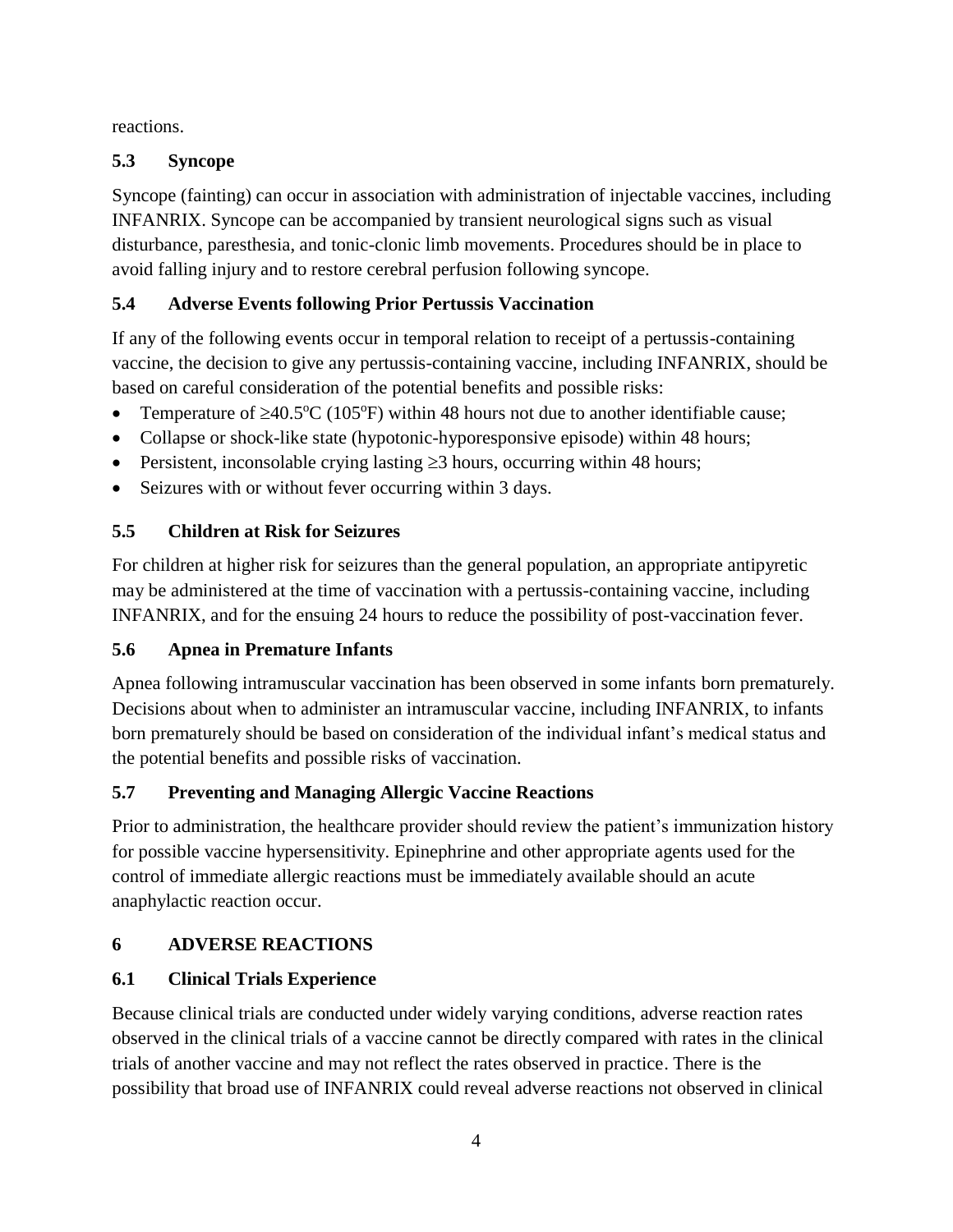reactions.

## <span id="page-3-0"></span>**5.3 Syncope**

Syncope (fainting) can occur in association with administration of injectable vaccines, including INFANRIX. Syncope can be accompanied by transient neurological signs such as visual disturbance, paresthesia, and tonic-clonic limb movements. Procedures should be in place to avoid falling injury and to restore cerebral perfusion following syncope.

# <span id="page-3-1"></span>**5.4 Adverse Events following Prior Pertussis Vaccination**

If any of the following events occur in temporal relation to receipt of a pertussis-containing vaccine, the decision to give any pertussis-containing vaccine, including INFANRIX, should be based on careful consideration of the potential benefits and possible risks:

- Temperature of  $\geq 40.5^{\circ}C$  (105°F) within 48 hours not due to another identifiable cause;
- Collapse or shock-like state (hypotonic-hyporesponsive episode) within 48 hours;
- Persistent, inconsolable crying lasting  $\geq 3$  hours, occurring within 48 hours;
- Seizures with or without fever occurring within 3 days.

## <span id="page-3-2"></span>**5.5 Children at Risk for Seizures**

For children at higher risk for seizures than the general population, an appropriate antipyretic may be administered at the time of vaccination with a pertussis-containing vaccine, including INFANRIX, and for the ensuing 24 hours to reduce the possibility of post-vaccination fever.

# <span id="page-3-3"></span>**5.6 Apnea in Premature Infants**

Apnea following intramuscular vaccination has been observed in some infants born prematurely. Decisions about when to administer an intramuscular vaccine, including INFANRIX, to infants born prematurely should be based on consideration of the individual infant's medical status and the potential benefits and possible risks of vaccination.

# <span id="page-3-4"></span>**5.7 Preventing and Managing Allergic Vaccine Reactions**

Prior to administration, the healthcare provider should review the patient's immunization history for possible vaccine hypersensitivity. Epinephrine and other appropriate agents used for the control of immediate allergic reactions must be immediately available should an acute anaphylactic reaction occur.

# <span id="page-3-5"></span>**6 ADVERSE REACTIONS**

# <span id="page-3-6"></span>**6.1 Clinical Trials Experience**

Because clinical trials are conducted under widely varying conditions, adverse reaction rates observed in the clinical trials of a vaccine cannot be directly compared with rates in the clinical trials of another vaccine and may not reflect the rates observed in practice. There is the possibility that broad use of INFANRIX could reveal adverse reactions not observed in clinical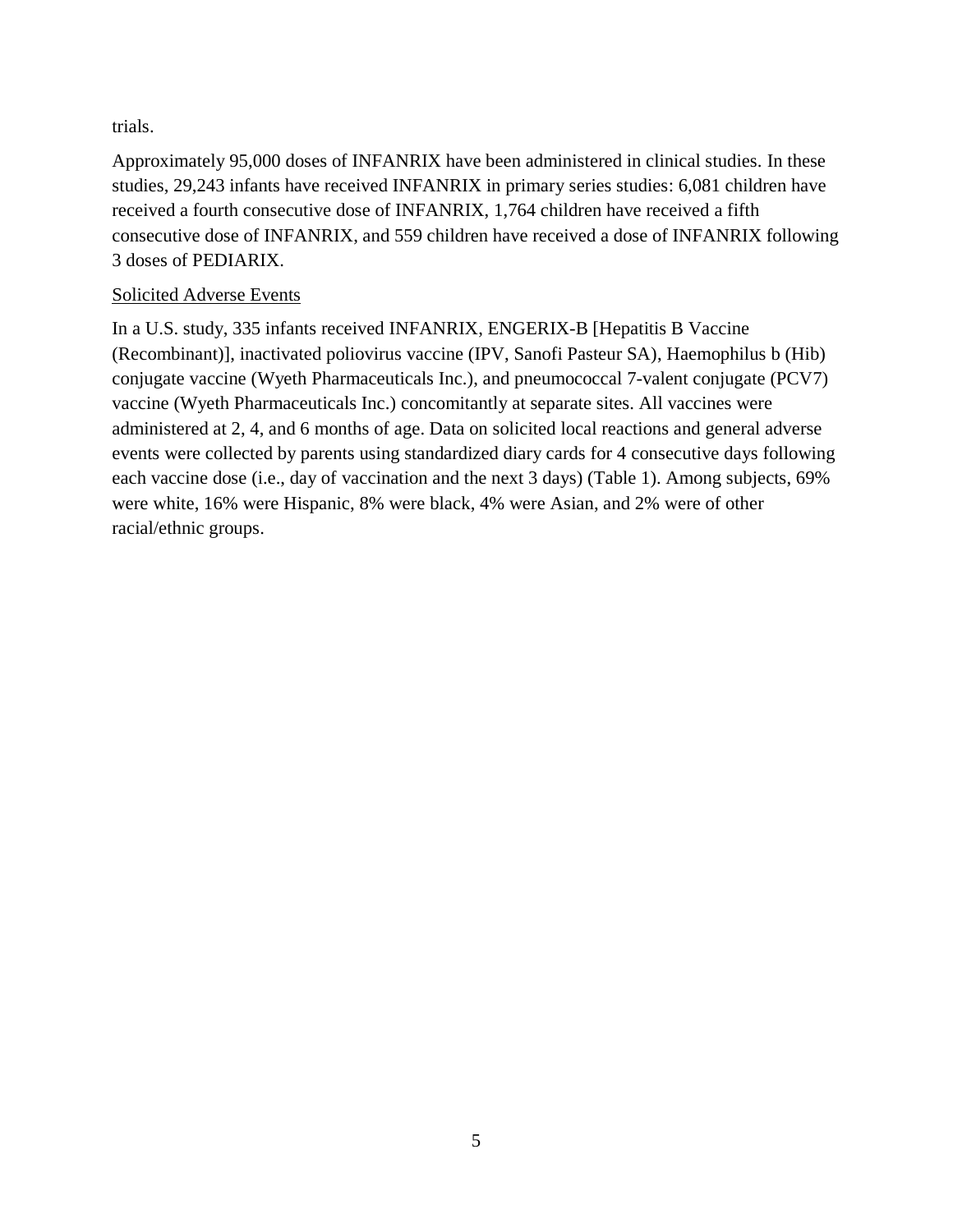trials.

Approximately 95,000 doses of INFANRIX have been administered in clinical studies. In these studies, 29,243 infants have received INFANRIX in primary series studies: 6,081 children have received a fourth consecutive dose of INFANRIX, 1,764 children have received a fifth consecutive dose of INFANRIX, and 559 children have received a dose of INFANRIX following 3 doses of PEDIARIX.

#### Solicited Adverse Events

In a U.S. study, 335 infants received INFANRIX, ENGERIX-B [Hepatitis B Vaccine (Recombinant)], inactivated poliovirus vaccine (IPV, Sanofi Pasteur SA), Haemophilus b (Hib) conjugate vaccine (Wyeth Pharmaceuticals Inc.), and pneumococcal 7-valent conjugate (PCV7) vaccine (Wyeth Pharmaceuticals Inc.) concomitantly at separate sites. All vaccines were administered at 2, 4, and 6 months of age. Data on solicited local reactions and general adverse events were collected by parents using standardized diary cards for 4 consecutive days following each vaccine dose (i.e., day of vaccination and the next 3 days) (Table 1). Among subjects, 69% were white, 16% were Hispanic, 8% were black, 4% were Asian, and 2% were of other racial/ethnic groups.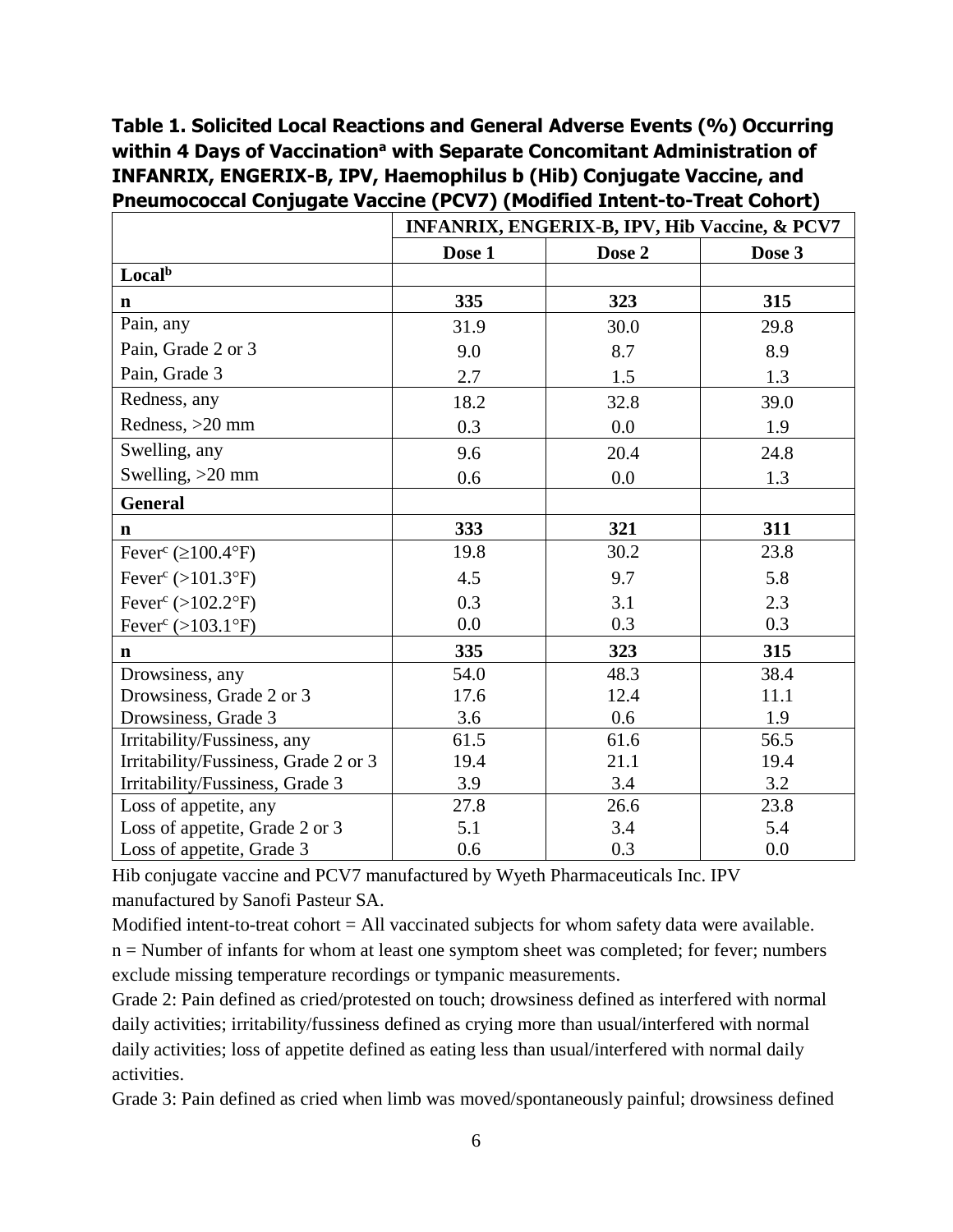# **Table 1. Solicited Local Reactions and General Adverse Events (%) Occurring within 4 Days of Vaccination<sup>a</sup> with Separate Concomitant Administration of INFANRIX, ENGERIX-B, IPV, Haemophilus b (Hib) Conjugate Vaccine, and Pneumococcal Conjugate Vaccine (PCV7) (Modified Intent-to-Treat Cohort)**

|                                      | <b>INFANRIX, ENGERIX-B, IPV, Hib Vaccine, &amp; PCV7</b> |        |        |  |  |
|--------------------------------------|----------------------------------------------------------|--------|--------|--|--|
|                                      | Dose 1                                                   | Dose 2 | Dose 3 |  |  |
| Local <sup>b</sup>                   |                                                          |        |        |  |  |
| $\mathbf n$                          | 335                                                      | 323    | 315    |  |  |
| Pain, any                            | 31.9                                                     | 30.0   | 29.8   |  |  |
| Pain, Grade 2 or 3                   | 9.0                                                      | 8.7    | 8.9    |  |  |
| Pain, Grade 3                        | 2.7                                                      | 1.5    | 1.3    |  |  |
| Redness, any                         | 18.2                                                     | 32.8   | 39.0   |  |  |
| Redness, >20 mm                      | 0.3                                                      | 0.0    | 1.9    |  |  |
| Swelling, any                        | 9.6                                                      | 20.4   | 24.8   |  |  |
| Swelling, >20 mm                     | 0.6                                                      | 0.0    | 1.3    |  |  |
| <b>General</b>                       |                                                          |        |        |  |  |
| $\mathbf n$                          | 333                                                      | 321    | 311    |  |  |
| Fever <sup>c</sup> ( $\geq$ 100.4°F) | 19.8                                                     | 30.2   | 23.8   |  |  |
| Fever <sup>c</sup> (>101.3°F)        | 4.5                                                      | 9.7    | 5.8    |  |  |
| Fever <sup>c</sup> (>102.2°F)        | 0.3                                                      | 3.1    | 2.3    |  |  |
| Fever <sup>c</sup> (>103.1°F)        | 0.0                                                      | 0.3    | 0.3    |  |  |
| $\mathbf n$                          | 335                                                      | 323    | 315    |  |  |
| Drowsiness, any                      | 54.0                                                     | 48.3   | 38.4   |  |  |
| Drowsiness, Grade 2 or 3             | 17.6                                                     | 12.4   | 11.1   |  |  |
| Drowsiness, Grade 3                  | 3.6                                                      | 0.6    | 1.9    |  |  |
| Irritability/Fussiness, any          | 61.5                                                     | 61.6   | 56.5   |  |  |
| Irritability/Fussiness, Grade 2 or 3 | 19.4                                                     | 21.1   | 19.4   |  |  |
| Irritability/Fussiness, Grade 3      | 3.9                                                      | 3.4    | 3.2    |  |  |
| Loss of appetite, any                | 27.8                                                     | 26.6   | 23.8   |  |  |
| Loss of appetite, Grade 2 or 3       | 5.1                                                      | 3.4    | 5.4    |  |  |
| Loss of appetite, Grade 3            | 0.6                                                      | 0.3    | 0.0    |  |  |

Hib conjugate vaccine and PCV7 manufactured by Wyeth Pharmaceuticals Inc. IPV manufactured by Sanofi Pasteur SA.

Modified intent-to-treat cohort = All vaccinated subjects for whom safety data were available. n = Number of infants for whom at least one symptom sheet was completed; for fever; numbers exclude missing temperature recordings or tympanic measurements.

Grade 2: Pain defined as cried/protested on touch; drowsiness defined as interfered with normal daily activities; irritability/fussiness defined as crying more than usual/interfered with normal daily activities; loss of appetite defined as eating less than usual/interfered with normal daily activities.

Grade 3: Pain defined as cried when limb was moved/spontaneously painful; drowsiness defined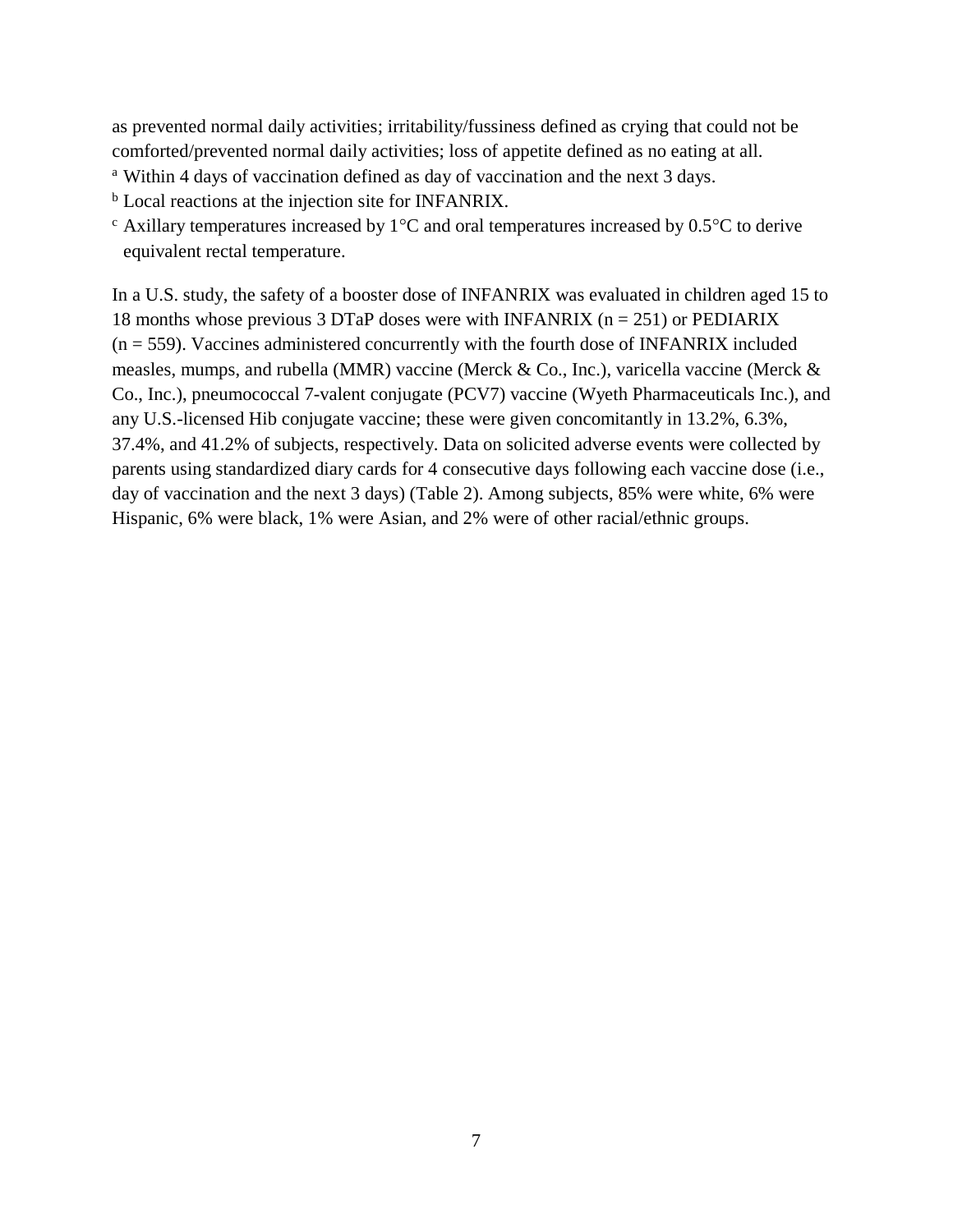as prevented normal daily activities; irritability/fussiness defined as crying that could not be comforted/prevented normal daily activities; loss of appetite defined as no eating at all.

- <sup>a</sup> Within 4 days of vaccination defined as day of vaccination and the next 3 days.
- <sup>b</sup> Local reactions at the injection site for INFANRIX.
- $\epsilon$  Axillary temperatures increased by 1<sup>o</sup>C and oral temperatures increased by 0.5<sup>o</sup>C to derive equivalent rectal temperature.

In a U.S. study, the safety of a booster dose of INFANRIX was evaluated in children aged 15 to 18 months whose previous 3 DTaP doses were with INFANRIX ( $n = 251$ ) or PEDIARIX  $(n = 559)$ . Vaccines administered concurrently with the fourth dose of INFANRIX included measles, mumps, and rubella (MMR) vaccine (Merck & Co., Inc.), varicella vaccine (Merck & Co., Inc.), pneumococcal 7-valent conjugate (PCV7) vaccine (Wyeth Pharmaceuticals Inc.), and any U.S.-licensed Hib conjugate vaccine; these were given concomitantly in 13.2%, 6.3%, 37.4%, and 41.2% of subjects, respectively. Data on solicited adverse events were collected by parents using standardized diary cards for 4 consecutive days following each vaccine dose (i.e., day of vaccination and the next 3 days) (Table 2). Among subjects, 85% were white, 6% were Hispanic, 6% were black, 1% were Asian, and 2% were of other racial/ethnic groups.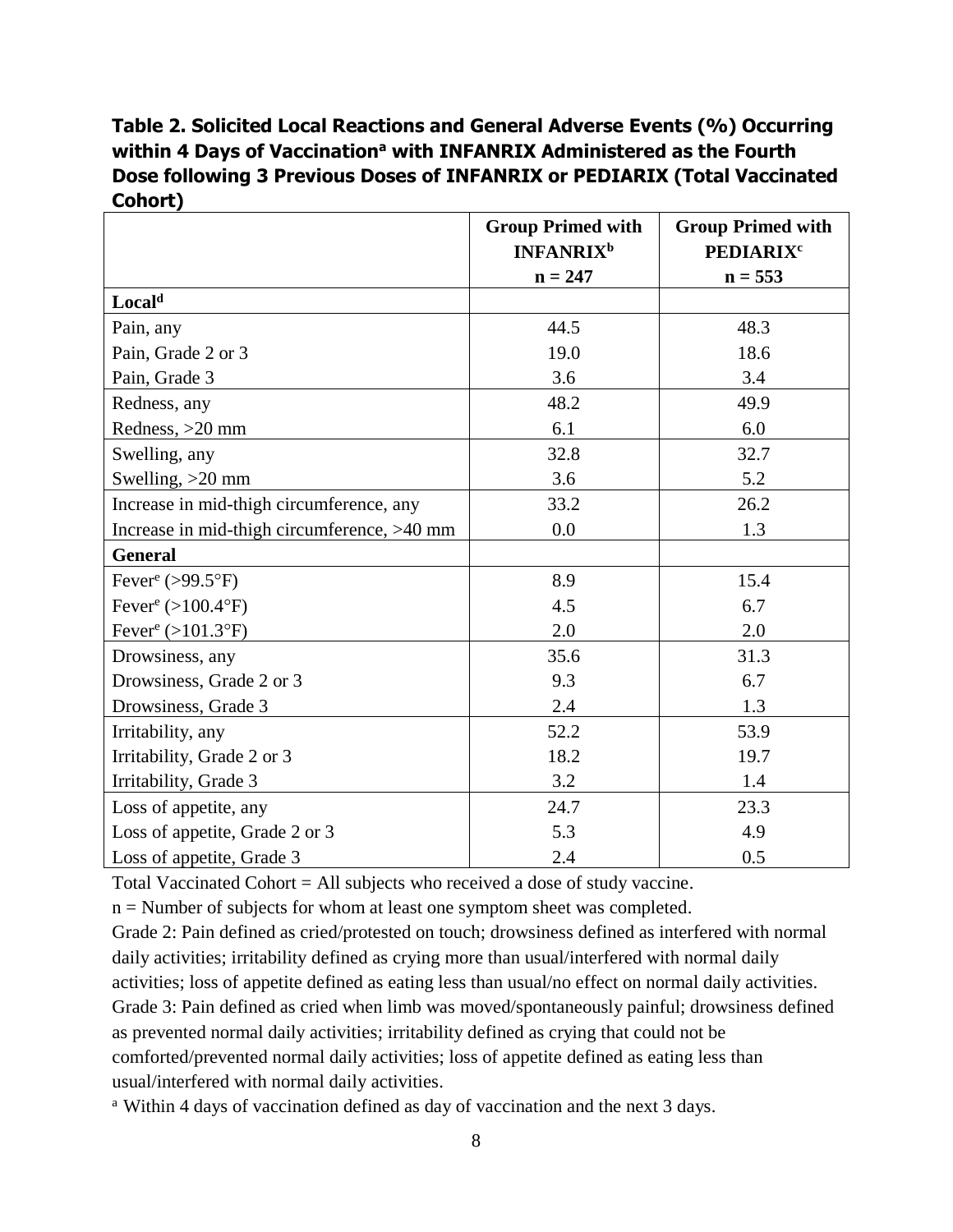# **Table 2. Solicited Local Reactions and General Adverse Events (%) Occurring within 4 Days of Vaccination<sup>a</sup> with INFANRIX Administered as the Fourth Dose following 3 Previous Doses of INFANRIX or PEDIARIX (Total Vaccinated Cohort)**

|                                                  | <b>Group Primed with</b><br><b>INFANRIX<sup>b</sup></b> | <b>Group Primed with</b><br><b>PEDIARIX<sup>c</sup></b> |  |
|--------------------------------------------------|---------------------------------------------------------|---------------------------------------------------------|--|
|                                                  | $n = 247$                                               | $n = 553$                                               |  |
| Local <sup>d</sup>                               |                                                         |                                                         |  |
| Pain, any                                        | 44.5                                                    | 48.3                                                    |  |
| Pain, Grade 2 or 3                               | 19.0                                                    | 18.6                                                    |  |
| Pain, Grade 3                                    | 3.6                                                     | 3.4                                                     |  |
| Redness, any                                     | 48.2                                                    | 49.9                                                    |  |
| Redness, >20 mm                                  | 6.1                                                     | 6.0                                                     |  |
| Swelling, any                                    | 32.8                                                    | 32.7                                                    |  |
| Swelling, $>20$ mm                               | 3.6                                                     | 5.2                                                     |  |
| Increase in mid-thigh circumference, any         | 33.2                                                    | 26.2                                                    |  |
| Increase in mid-thigh circumference, >40 mm      | 0.0                                                     | 1.3                                                     |  |
| <b>General</b>                                   |                                                         |                                                         |  |
| Fever <sup>e</sup> (>99.5 $\mathrm{^{\circ}F}$ ) | 8.9                                                     | 15.4                                                    |  |
| Fever <sup>e</sup> $(>100.4$ °F)                 | 4.5                                                     | 6.7                                                     |  |
| Fever <sup>e</sup> (>101.3°F)                    | 2.0                                                     | 2.0                                                     |  |
| Drowsiness, any                                  | 35.6                                                    | 31.3                                                    |  |
| Drowsiness, Grade 2 or 3                         | 9.3                                                     | 6.7                                                     |  |
| Drowsiness, Grade 3                              | 2.4                                                     | 1.3                                                     |  |
| Irritability, any                                | 52.2                                                    | 53.9                                                    |  |
| Irritability, Grade 2 or 3                       | 18.2                                                    | 19.7                                                    |  |
| Irritability, Grade 3                            | 3.2                                                     | 1.4                                                     |  |
| Loss of appetite, any                            | 24.7                                                    | 23.3                                                    |  |
| Loss of appetite, Grade 2 or 3                   | 5.3                                                     | 4.9                                                     |  |
| Loss of appetite, Grade 3                        | 2.4                                                     | 0.5                                                     |  |

Total Vaccinated Cohort = All subjects who received a dose of study vaccine.

n = Number of subjects for whom at least one symptom sheet was completed.

Grade 2: Pain defined as cried/protested on touch; drowsiness defined as interfered with normal daily activities; irritability defined as crying more than usual/interfered with normal daily activities; loss of appetite defined as eating less than usual/no effect on normal daily activities. Grade 3: Pain defined as cried when limb was moved/spontaneously painful; drowsiness defined as prevented normal daily activities; irritability defined as crying that could not be comforted/prevented normal daily activities; loss of appetite defined as eating less than usual/interfered with normal daily activities.

<sup>a</sup> Within 4 days of vaccination defined as day of vaccination and the next 3 days.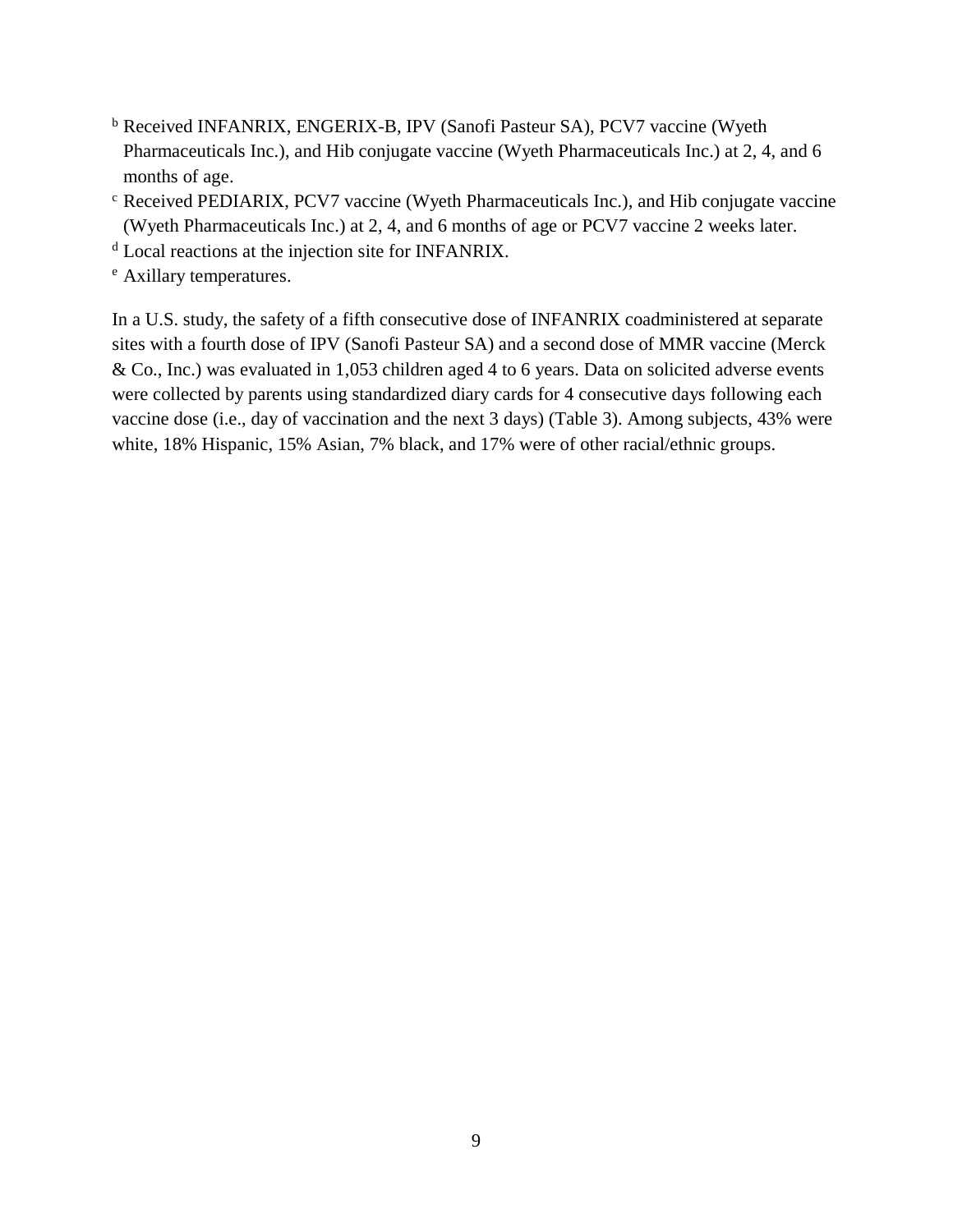- <sup>b</sup> Received INFANRIX, ENGERIX-B, IPV (Sanofi Pasteur SA), PCV7 vaccine (Wyeth Pharmaceuticals Inc.), and Hib conjugate vaccine (Wyeth Pharmaceuticals Inc.) at 2, 4, and 6 months of age.
- <sup>c</sup> Received PEDIARIX, PCV7 vaccine (Wyeth Pharmaceuticals Inc.), and Hib conjugate vaccine (Wyeth Pharmaceuticals Inc.) at 2, 4, and 6 months of age or PCV7 vaccine 2 weeks later.
- <sup>d</sup> Local reactions at the injection site for INFANRIX.
- <sup>e</sup> Axillary temperatures.

In a U.S. study, the safety of a fifth consecutive dose of INFANRIX coadministered at separate sites with a fourth dose of IPV (Sanofi Pasteur SA) and a second dose of MMR vaccine (Merck & Co., Inc.) was evaluated in 1,053 children aged 4 to 6 years. Data on solicited adverse events were collected by parents using standardized diary cards for 4 consecutive days following each vaccine dose (i.e., day of vaccination and the next 3 days) (Table 3). Among subjects, 43% were white, 18% Hispanic, 15% Asian, 7% black, and 17% were of other racial/ethnic groups.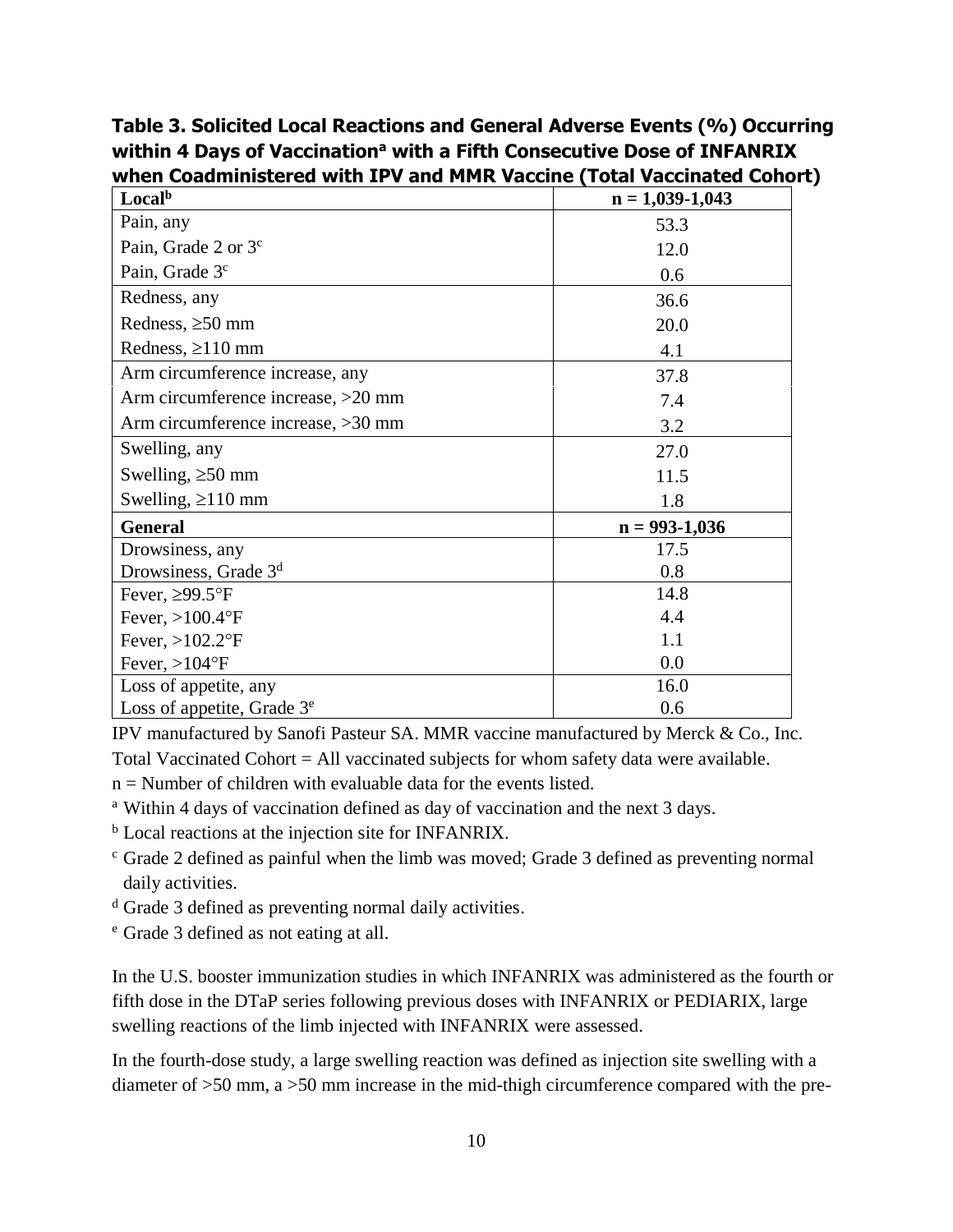**Table 3. Solicited Local Reactions and General Adverse Events (%) Occurring within 4 Days of Vaccination<sup>a</sup> with a Fifth Consecutive Dose of INFANRIX when Coadministered with IPV and MMR Vaccine (Total Vaccinated Cohort)**

| Local <sup>b</sup>                 | $n = 1,039-1,043$ |
|------------------------------------|-------------------|
| Pain, any                          | 53.3              |
| Pain, Grade 2 or $3c$              | 12.0              |
| Pain, Grade 3 <sup>c</sup>         | 0.6               |
| Redness, any                       | 36.6              |
| Redness, $\geq 50$ mm              | 20.0              |
| Redness, $\geq$ 110 mm             | 4.1               |
| Arm circumference increase, any    | 37.8              |
| Arm circumference increase, >20 mm | 7.4               |
| Arm circumference increase, >30 mm | 3.2               |
| Swelling, any                      | 27.0              |
| Swelling, $\geq 50$ mm             | 11.5              |
| Swelling, $\geq$ 110 mm            | 1.8               |
| <b>General</b>                     | $n = 993 - 1,036$ |
| Drowsiness, any                    | 17.5              |
| Drowsiness, Grade 3 <sup>d</sup>   | 0.8               |
| Fever, $\geq$ 99.5°F               | 14.8              |
| Fever, $>100.4$ °F                 | 4.4               |
| Fever, $>102.2$ °F                 | 1.1               |
| Fever, $>104$ °F                   | 0.0               |
| Loss of appetite, any              | 16.0              |
| Loss of appetite, Grade $3e$       | 0.6               |

IPV manufactured by Sanofi Pasteur SA. MMR vaccine manufactured by Merck & Co., Inc.

Total Vaccinated Cohort = All vaccinated subjects for whom safety data were available.

 $n =$  Number of children with evaluable data for the events listed.

<sup>a</sup> Within 4 days of vaccination defined as day of vaccination and the next 3 days.

**b** Local reactions at the injection site for INFANRIX.

- <sup>c</sup> Grade 2 defined as painful when the limb was moved; Grade 3 defined as preventing normal daily activities.
- <sup>d</sup> Grade 3 defined as preventing normal daily activities.

<sup>e</sup> Grade 3 defined as not eating at all.

In the U.S. booster immunization studies in which INFANRIX was administered as the fourth or fifth dose in the DTaP series following previous doses with INFANRIX or PEDIARIX, large swelling reactions of the limb injected with INFANRIX were assessed.

In the fourth-dose study, a large swelling reaction was defined as injection site swelling with a diameter of >50 mm, a >50 mm increase in the mid-thigh circumference compared with the pre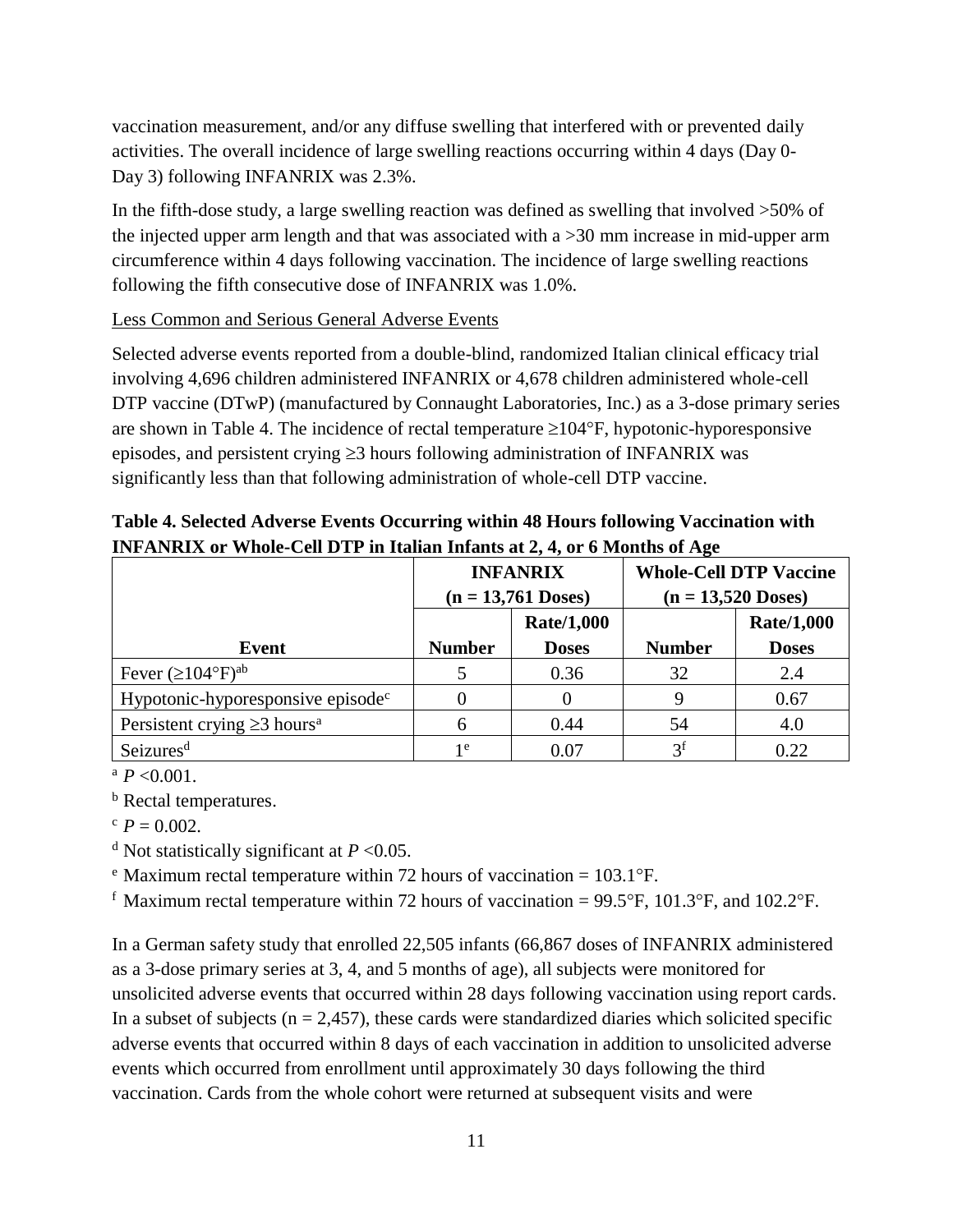vaccination measurement, and/or any diffuse swelling that interfered with or prevented daily activities. The overall incidence of large swelling reactions occurring within 4 days (Day 0- Day 3) following INFANRIX was 2.3%.

In the fifth-dose study, a large swelling reaction was defined as swelling that involved >50% of the injected upper arm length and that was associated with a >30 mm increase in mid-upper arm circumference within 4 days following vaccination. The incidence of large swelling reactions following the fifth consecutive dose of INFANRIX was 1.0%.

#### Less Common and Serious General Adverse Events

Selected adverse events reported from a double-blind, randomized Italian clinical efficacy trial involving 4,696 children administered INFANRIX or 4,678 children administered whole-cell DTP vaccine (DTwP) (manufactured by Connaught Laboratories, Inc.) as a 3-dose primary series are shown in Table 4. The incidence of rectal temperature  $\geq 104^{\circ}F$ , hypotonic-hyporesponsive episodes, and persistent crying  $\geq$ 3 hours following administration of INFANRIX was significantly less than that following administration of whole-cell DTP vaccine.

|                                               | <b>INFANRIX</b><br>$(n = 13,761$ Doses) |                   | <b>Whole-Cell DTP Vaccine</b><br>$(n = 13,520$ Doses) |              |
|-----------------------------------------------|-----------------------------------------|-------------------|-------------------------------------------------------|--------------|
|                                               |                                         | <b>Rate/1,000</b> |                                                       | Rate/1,000   |
| Event                                         | <b>Number</b>                           | <b>Doses</b>      | <b>Number</b>                                         | <b>Doses</b> |
| Fever $(\geq 104^{\circ}F)^{ab}$              |                                         | 0.36              | 32                                                    | 2.4          |
| Hypotonic-hyporesponsive episode <sup>c</sup> |                                         |                   |                                                       | 0.67         |
| Persistent crying $\geq$ 3 hours <sup>a</sup> |                                         | 0.44              | 54                                                    | 4.0          |
| Seizures <sup>d</sup>                         | 1e                                      | 0.07              | 3 <sup>f</sup>                                        | 0.22         |

**Table 4. Selected Adverse Events Occurring within 48 Hours following Vaccination with INFANRIX or Whole-Cell DTP in Italian Infants at 2, 4, or 6 Months of Age**

 $^{a}P<0.001$ .

**b** Rectal temperatures.

 $P = 0.002$ .

<sup>d</sup> Not statistically significant at  $P < 0.05$ .

 $e^{i}$  Maximum rectal temperature within 72 hours of vaccination = 103.1 $^{\circ}$ F.

<sup>f</sup> Maximum rectal temperature within 72 hours of vaccination = 99.5°F, 101.3°F, and 102.2°F.

In a German safety study that enrolled 22,505 infants (66,867 doses of INFANRIX administered as a 3-dose primary series at 3, 4, and 5 months of age), all subjects were monitored for unsolicited adverse events that occurred within 28 days following vaccination using report cards. In a subset of subjects ( $n = 2,457$ ), these cards were standardized diaries which solicited specific adverse events that occurred within 8 days of each vaccination in addition to unsolicited adverse events which occurred from enrollment until approximately 30 days following the third vaccination. Cards from the whole cohort were returned at subsequent visits and were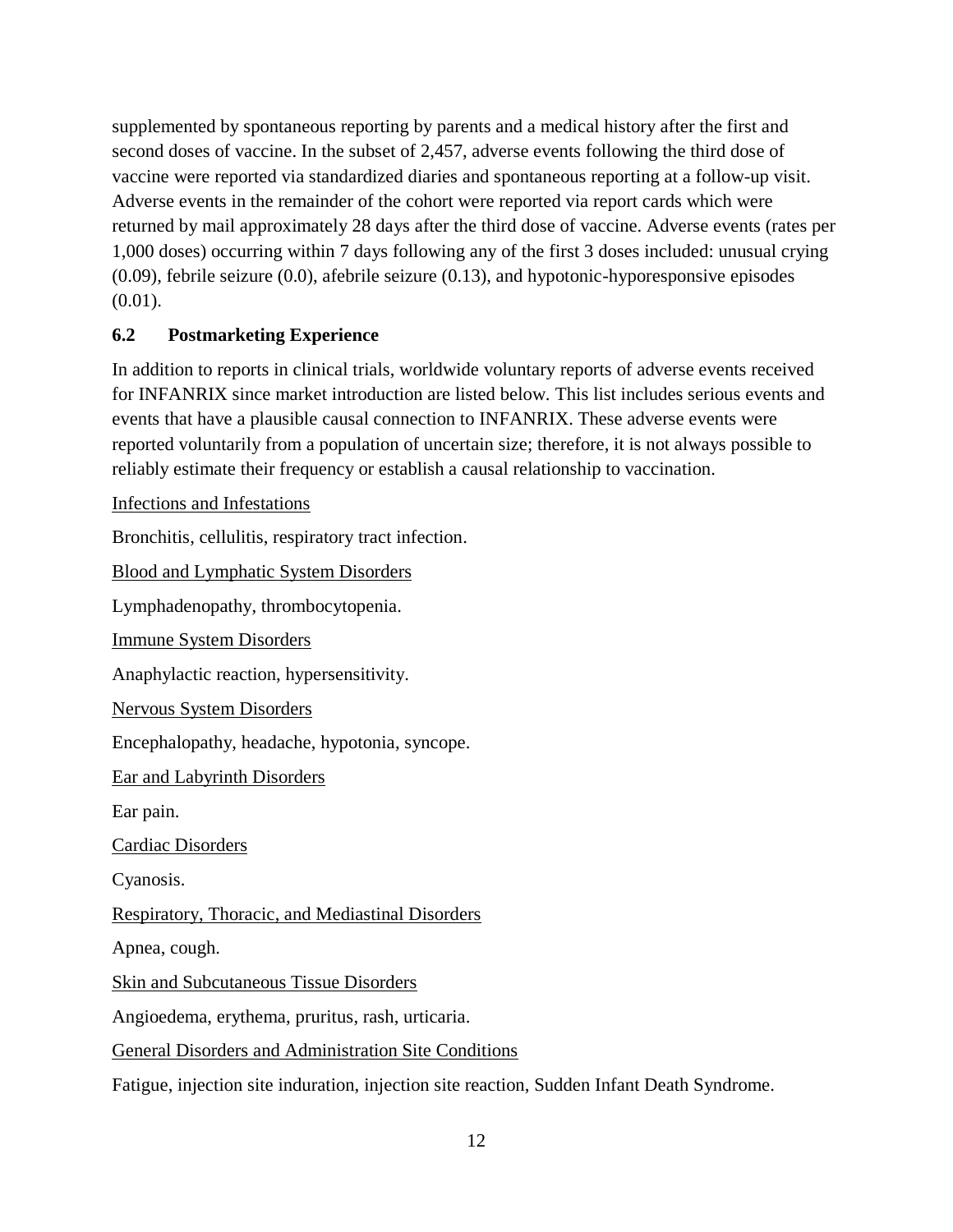supplemented by spontaneous reporting by parents and a medical history after the first and second doses of vaccine. In the subset of 2,457, adverse events following the third dose of vaccine were reported via standardized diaries and spontaneous reporting at a follow-up visit. Adverse events in the remainder of the cohort were reported via report cards which were returned by mail approximately 28 days after the third dose of vaccine. Adverse events (rates per 1,000 doses) occurring within 7 days following any of the first 3 doses included: unusual crying (0.09), febrile seizure (0.0), afebrile seizure (0.13), and hypotonic-hyporesponsive episodes (0.01).

#### <span id="page-11-0"></span>**6.2 Postmarketing Experience**

In addition to reports in clinical trials, worldwide voluntary reports of adverse events received for INFANRIX since market introduction are listed below. This list includes serious events and events that have a plausible causal connection to INFANRIX. These adverse events were reported voluntarily from a population of uncertain size; therefore, it is not always possible to reliably estimate their frequency or establish a causal relationship to vaccination.

Infections and Infestations

Bronchitis, cellulitis, respiratory tract infection.

Blood and Lymphatic System Disorders

Lymphadenopathy, thrombocytopenia.

Immune System Disorders

Anaphylactic reaction, hypersensitivity.

Nervous System Disorders

Encephalopathy, headache, hypotonia, syncope.

Ear and Labyrinth Disorders

Ear pain.

Cardiac Disorders

Cyanosis.

Respiratory, Thoracic, and Mediastinal Disorders

Apnea, cough.

Skin and Subcutaneous Tissue Disorders

Angioedema, erythema, pruritus, rash, urticaria.

General Disorders and Administration Site Conditions

Fatigue, injection site induration, injection site reaction, Sudden Infant Death Syndrome.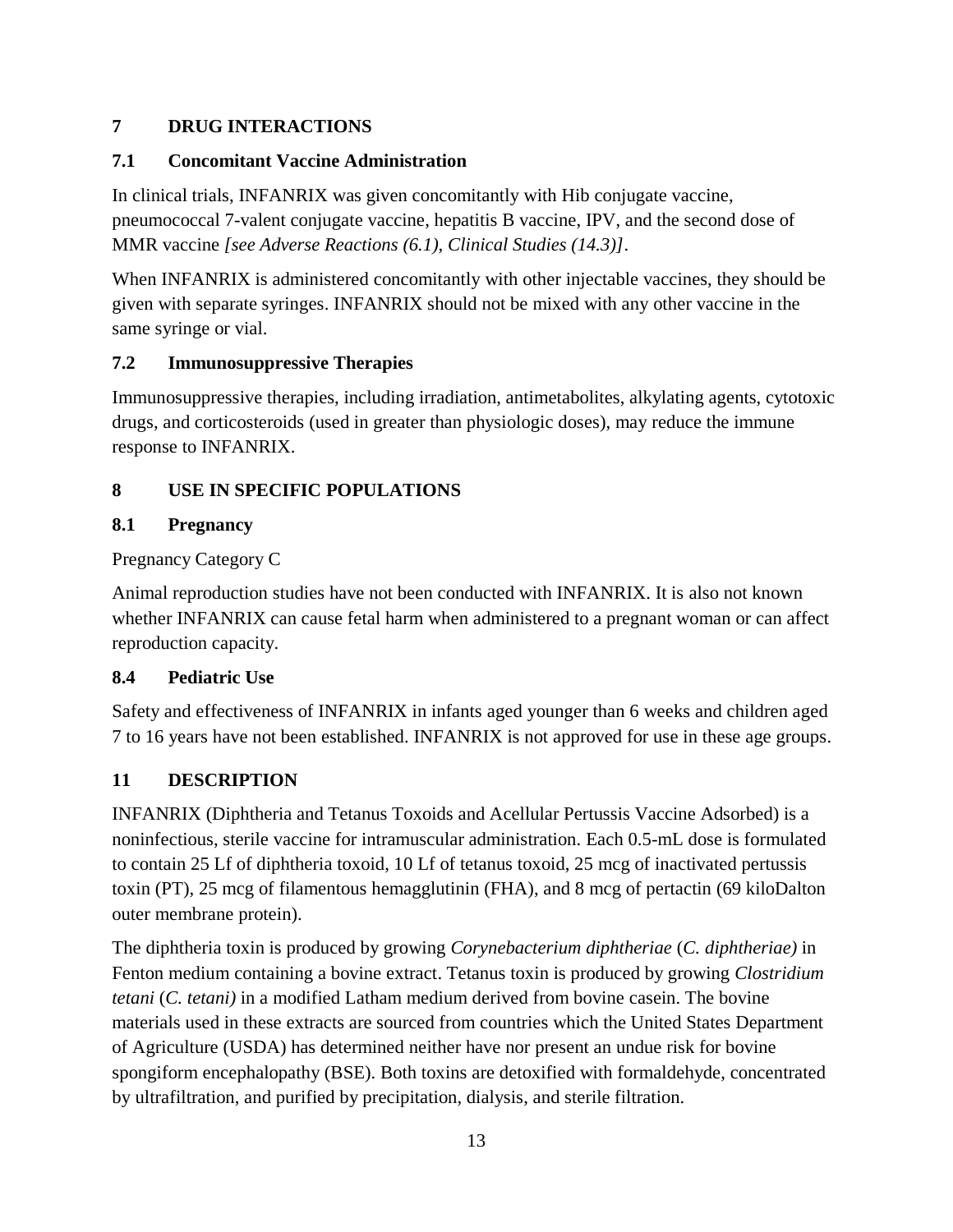## <span id="page-12-0"></span>**7 DRUG INTERACTIONS**

## <span id="page-12-1"></span>**7.1 Concomitant Vaccine Administration**

In clinical trials, INFANRIX was given concomitantly with Hib conjugate vaccine, pneumococcal 7-valent conjugate vaccine, hepatitis B vaccine, IPV, and the second dose of MMR vaccine *[see Adverse Reactions (6.1), Clinical Studies (14.3)]*.

When INFANRIX is administered concomitantly with other injectable vaccines, they should be given with separate syringes. INFANRIX should not be mixed with any other vaccine in the same syringe or vial.

## <span id="page-12-2"></span>**7.2 Immunosuppressive Therapies**

Immunosuppressive therapies, including irradiation, antimetabolites, alkylating agents, cytotoxic drugs, and corticosteroids (used in greater than physiologic doses), may reduce the immune response to INFANRIX.

# <span id="page-12-3"></span>**8 USE IN SPECIFIC POPULATIONS**

## <span id="page-12-4"></span>**8.1 Pregnancy**

Pregnancy Category C

Animal reproduction studies have not been conducted with INFANRIX. It is also not known whether INFANRIX can cause fetal harm when administered to a pregnant woman or can affect reproduction capacity.

## <span id="page-12-5"></span>**8.4 Pediatric Use**

Safety and effectiveness of INFANRIX in infants aged younger than 6 weeks and children aged 7 to 16 years have not been established. INFANRIX is not approved for use in these age groups.

# <span id="page-12-6"></span>**11 DESCRIPTION**

INFANRIX (Diphtheria and Tetanus Toxoids and Acellular Pertussis Vaccine Adsorbed) is a noninfectious, sterile vaccine for intramuscular administration. Each 0.5-mL dose is formulated to contain 25 Lf of diphtheria toxoid, 10 Lf of tetanus toxoid, 25 mcg of inactivated pertussis toxin (PT), 25 mcg of filamentous hemagglutinin (FHA), and 8 mcg of pertactin (69 kiloDalton outer membrane protein).

The diphtheria toxin is produced by growing *Corynebacterium diphtheriae* (*C. diphtheriae)* in Fenton medium containing a bovine extract. Tetanus toxin is produced by growing *Clostridium tetani* (*C. tetani)* in a modified Latham medium derived from bovine casein. The bovine materials used in these extracts are sourced from countries which the United States Department of Agriculture (USDA) has determined neither have nor present an undue risk for bovine spongiform encephalopathy (BSE). Both toxins are detoxified with formaldehyde, concentrated by ultrafiltration, and purified by precipitation, dialysis, and sterile filtration.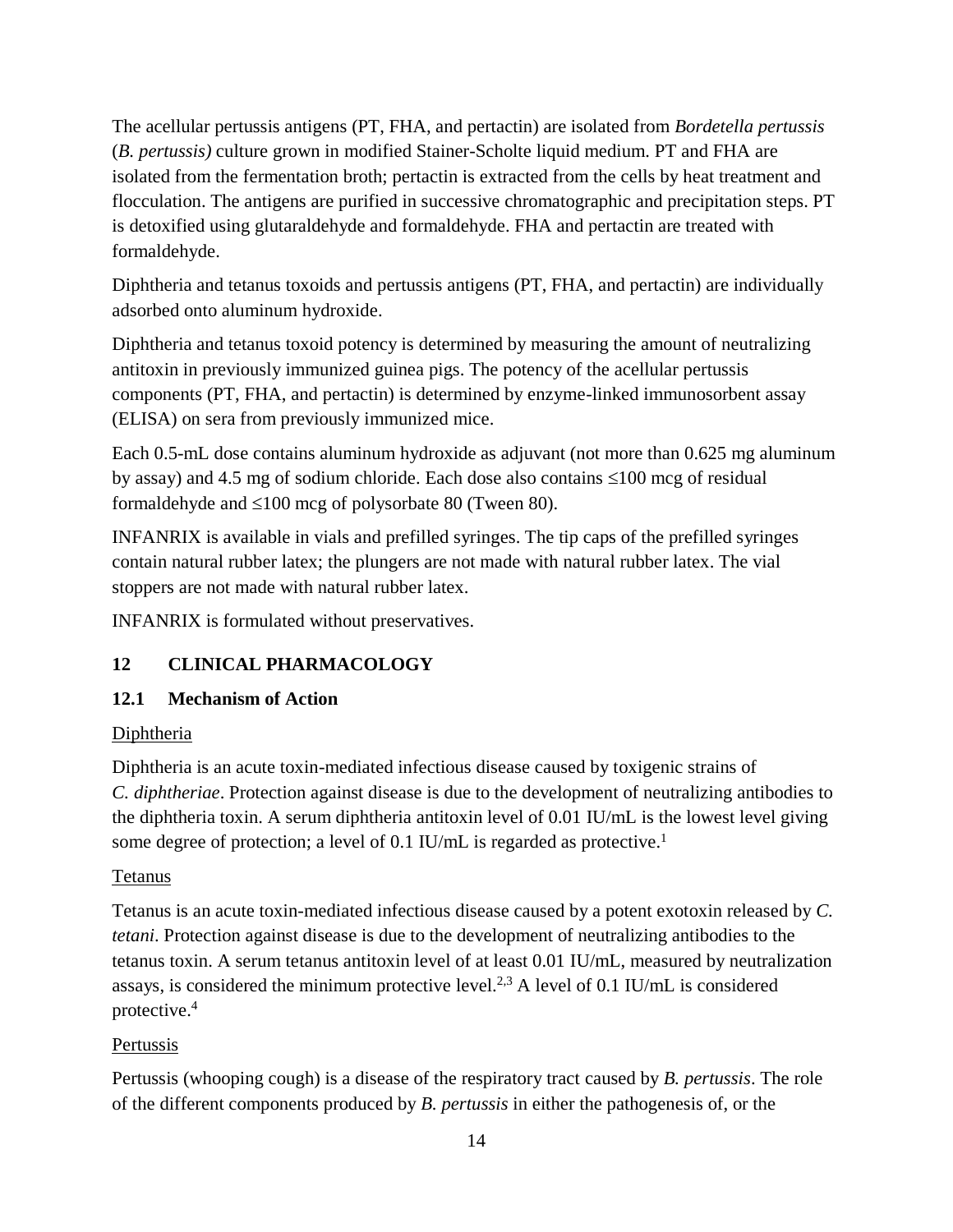The acellular pertussis antigens (PT, FHA, and pertactin) are isolated from *Bordetella pertussis* (*B. pertussis)* culture grown in modified Stainer-Scholte liquid medium. PT and FHA are isolated from the fermentation broth; pertactin is extracted from the cells by heat treatment and flocculation. The antigens are purified in successive chromatographic and precipitation steps. PT is detoxified using glutaraldehyde and formaldehyde. FHA and pertactin are treated with formaldehyde.

Diphtheria and tetanus toxoids and pertussis antigens (PT, FHA, and pertactin) are individually adsorbed onto aluminum hydroxide.

Diphtheria and tetanus toxoid potency is determined by measuring the amount of neutralizing antitoxin in previously immunized guinea pigs. The potency of the acellular pertussis components (PT, FHA, and pertactin) is determined by enzyme-linked immunosorbent assay (ELISA) on sera from previously immunized mice.

Each 0.5-mL dose contains aluminum hydroxide as adjuvant (not more than 0.625 mg aluminum by assay) and 4.5 mg of sodium chloride. Each dose also contains  $\leq 100$  mcg of residual formaldehyde and  $\leq 100$  mcg of polysorbate 80 (Tween 80).

INFANRIX is available in vials and prefilled syringes. The tip caps of the prefilled syringes contain natural rubber latex; the plungers are not made with natural rubber latex. The vial stoppers are not made with natural rubber latex.

<span id="page-13-0"></span>INFANRIX is formulated without preservatives.

## **12 CLINICAL PHARMACOLOGY**

#### <span id="page-13-1"></span>**12.1 Mechanism of Action**

#### Diphtheria

Diphtheria is an acute toxin-mediated infectious disease caused by toxigenic strains of *C. diphtheriae*. Protection against disease is due to the development of neutralizing antibodies to the diphtheria toxin. A serum diphtheria antitoxin level of 0.01 IU/mL is the lowest level giving some degree of protection; a level of 0.1 IU/mL is regarded as protective.<sup>1</sup>

#### Tetanus

Tetanus is an acute toxin-mediated infectious disease caused by a potent exotoxin released by *C. tetani*. Protection against disease is due to the development of neutralizing antibodies to the tetanus toxin. A serum tetanus antitoxin level of at least 0.01 IU/mL, measured by neutralization assays, is considered the minimum protective level.<sup>2,3</sup> A level of 0.1 IU/mL is considered protective. 4

#### Pertussis

Pertussis (whooping cough) is a disease of the respiratory tract caused by *B. pertussis*. The role of the different components produced by *B. pertussis* in either the pathogenesis of, or the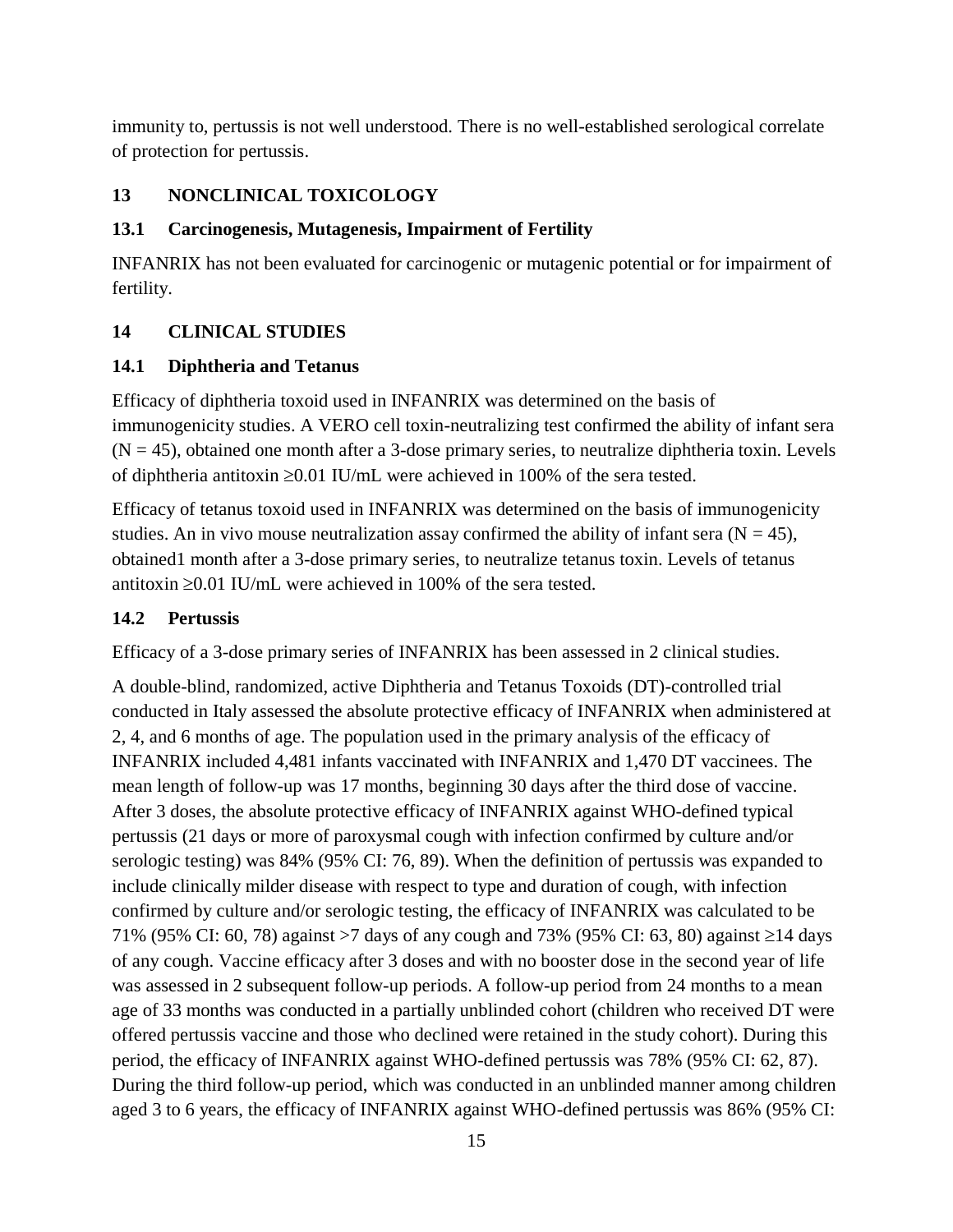immunity to, pertussis is not well understood. There is no well-established serological correlate of protection for pertussis.

#### <span id="page-14-0"></span>**13 NONCLINICAL TOXICOLOGY**

#### <span id="page-14-1"></span>**13.1 Carcinogenesis, Mutagenesis, Impairment of Fertility**

INFANRIX has not been evaluated for carcinogenic or mutagenic potential or for impairment of fertility.

#### <span id="page-14-2"></span>**14 CLINICAL STUDIES**

#### <span id="page-14-3"></span>**14.1 Diphtheria and Tetanus**

Efficacy of diphtheria toxoid used in INFANRIX was determined on the basis of immunogenicity studies. A VERO cell toxin-neutralizing test confirmed the ability of infant sera  $(N = 45)$ , obtained one month after a 3-dose primary series, to neutralize diphtheria toxin. Levels of diphtheria antitoxin  $\geq 0.01$  IU/mL were achieved in 100% of the sera tested.

Efficacy of tetanus toxoid used in INFANRIX was determined on the basis of immunogenicity studies. An in vivo mouse neutralization assay confirmed the ability of infant sera ( $N = 45$ ), obtained1 month after a 3-dose primary series, to neutralize tetanus toxin. Levels of tetanus antitoxin  $\geq 0.01$  IU/mL were achieved in 100% of the sera tested.

#### <span id="page-14-4"></span>**14.2 Pertussis**

Efficacy of a 3-dose primary series of INFANRIX has been assessed in 2 clinical studies.

A double-blind, randomized, active Diphtheria and Tetanus Toxoids (DT)-controlled trial conducted in Italy assessed the absolute protective efficacy of INFANRIX when administered at 2, 4, and 6 months of age. The population used in the primary analysis of the efficacy of INFANRIX included 4,481 infants vaccinated with INFANRIX and 1,470 DT vaccinees. The mean length of follow-up was 17 months, beginning 30 days after the third dose of vaccine. After 3 doses, the absolute protective efficacy of INFANRIX against WHO-defined typical pertussis (21 days or more of paroxysmal cough with infection confirmed by culture and/or serologic testing) was 84% (95% CI: 76, 89). When the definition of pertussis was expanded to include clinically milder disease with respect to type and duration of cough, with infection confirmed by culture and/or serologic testing, the efficacy of INFANRIX was calculated to be 71% (95% CI: 60, 78) against >7 days of any cough and 73% (95% CI: 63, 80) against  $\geq$ 14 days of any cough. Vaccine efficacy after 3 doses and with no booster dose in the second year of life was assessed in 2 subsequent follow-up periods. A follow-up period from 24 months to a mean age of 33 months was conducted in a partially unblinded cohort (children who received DT were offered pertussis vaccine and those who declined were retained in the study cohort). During this period, the efficacy of INFANRIX against WHO-defined pertussis was 78% (95% CI: 62, 87). During the third follow-up period, which was conducted in an unblinded manner among children aged 3 to 6 years, the efficacy of INFANRIX against WHO-defined pertussis was 86% (95% CI: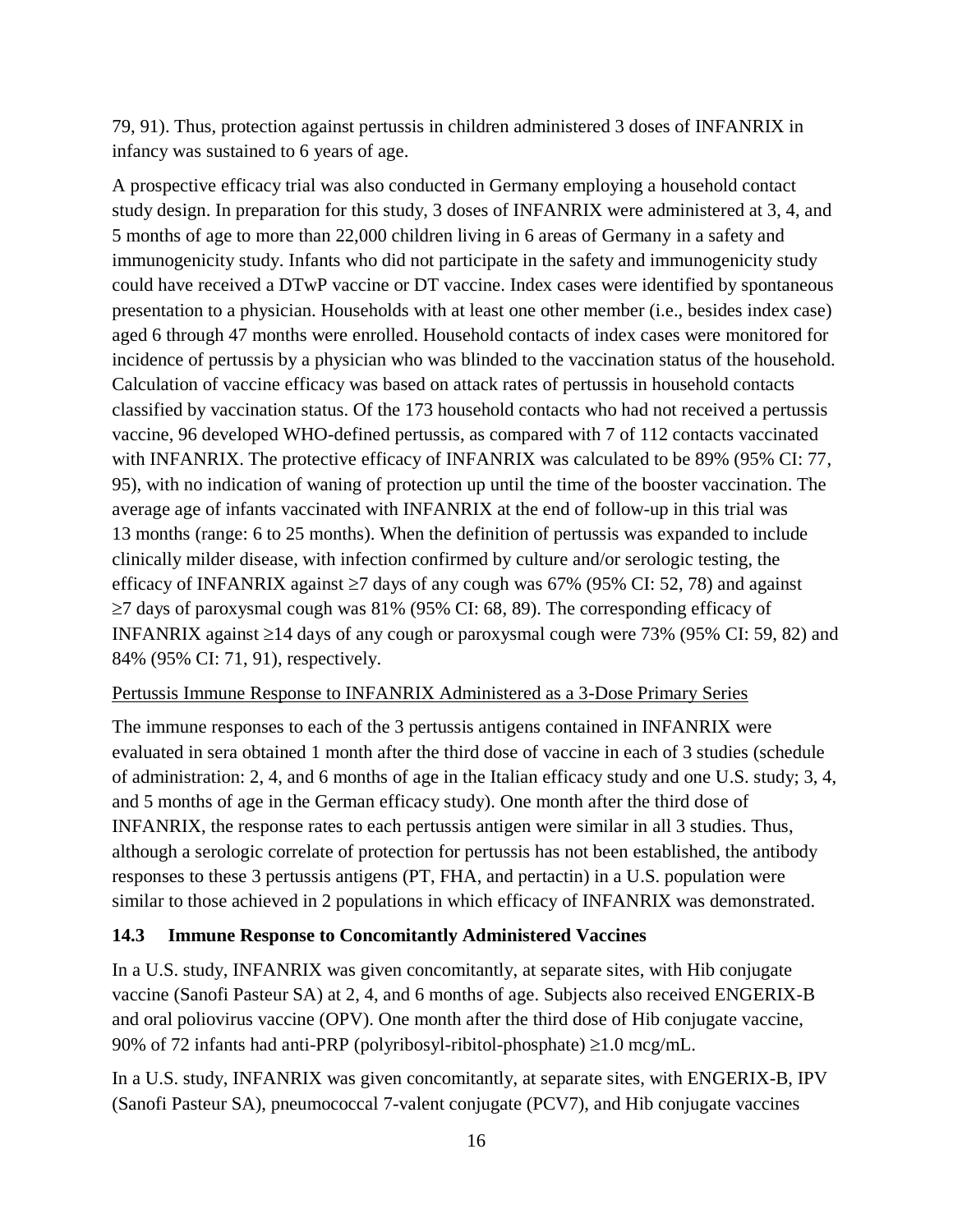79, 91). Thus, protection against pertussis in children administered 3 doses of INFANRIX in infancy was sustained to 6 years of age.

A prospective efficacy trial was also conducted in Germany employing a household contact study design. In preparation for this study, 3 doses of INFANRIX were administered at 3, 4, and 5 months of age to more than 22,000 children living in 6 areas of Germany in a safety and immunogenicity study. Infants who did not participate in the safety and immunogenicity study could have received a DTwP vaccine or DT vaccine. Index cases were identified by spontaneous presentation to a physician. Households with at least one other member (i.e., besides index case) aged 6 through 47 months were enrolled. Household contacts of index cases were monitored for incidence of pertussis by a physician who was blinded to the vaccination status of the household. Calculation of vaccine efficacy was based on attack rates of pertussis in household contacts classified by vaccination status. Of the 173 household contacts who had not received a pertussis vaccine, 96 developed WHO-defined pertussis, as compared with 7 of 112 contacts vaccinated with INFANRIX. The protective efficacy of INFANRIX was calculated to be 89% (95% CI: 77, 95), with no indication of waning of protection up until the time of the booster vaccination. The average age of infants vaccinated with INFANRIX at the end of follow-up in this trial was 13 months (range: 6 to 25 months). When the definition of pertussis was expanded to include clinically milder disease, with infection confirmed by culture and/or serologic testing, the efficacy of INFANRIX against  $\geq 7$  days of any cough was 67% (95% CI: 52, 78) and against  $\geq$ 7 days of paroxysmal cough was 81% (95% CI: 68, 89). The corresponding efficacy of INFANRIX against  $\geq 14$  days of any cough or paroxysmal cough were 73% (95% CI: 59, 82) and 84% (95% CI: 71, 91), respectively.

#### Pertussis Immune Response to INFANRIX Administered as a 3-Dose Primary Series

The immune responses to each of the 3 pertussis antigens contained in INFANRIX were evaluated in sera obtained 1 month after the third dose of vaccine in each of 3 studies (schedule of administration: 2, 4, and 6 months of age in the Italian efficacy study and one U.S. study; 3, 4, and 5 months of age in the German efficacy study). One month after the third dose of INFANRIX, the response rates to each pertussis antigen were similar in all 3 studies. Thus, although a serologic correlate of protection for pertussis has not been established, the antibody responses to these 3 pertussis antigens (PT, FHA, and pertactin) in a U.S. population were similar to those achieved in 2 populations in which efficacy of INFANRIX was demonstrated.

#### <span id="page-15-0"></span>**14.3 Immune Response to Concomitantly Administered Vaccines**

In a U.S. study, INFANRIX was given concomitantly, at separate sites, with Hib conjugate vaccine (Sanofi Pasteur SA) at 2, 4, and 6 months of age. Subjects also received ENGERIX-B and oral poliovirus vaccine (OPV). One month after the third dose of Hib conjugate vaccine, 90% of 72 infants had anti-PRP (polyribosyl-ribitol-phosphate)  $\geq 1.0$  mcg/mL.

In a U.S. study, INFANRIX was given concomitantly, at separate sites, with ENGERIX-B, IPV (Sanofi Pasteur SA), pneumococcal 7-valent conjugate (PCV7), and Hib conjugate vaccines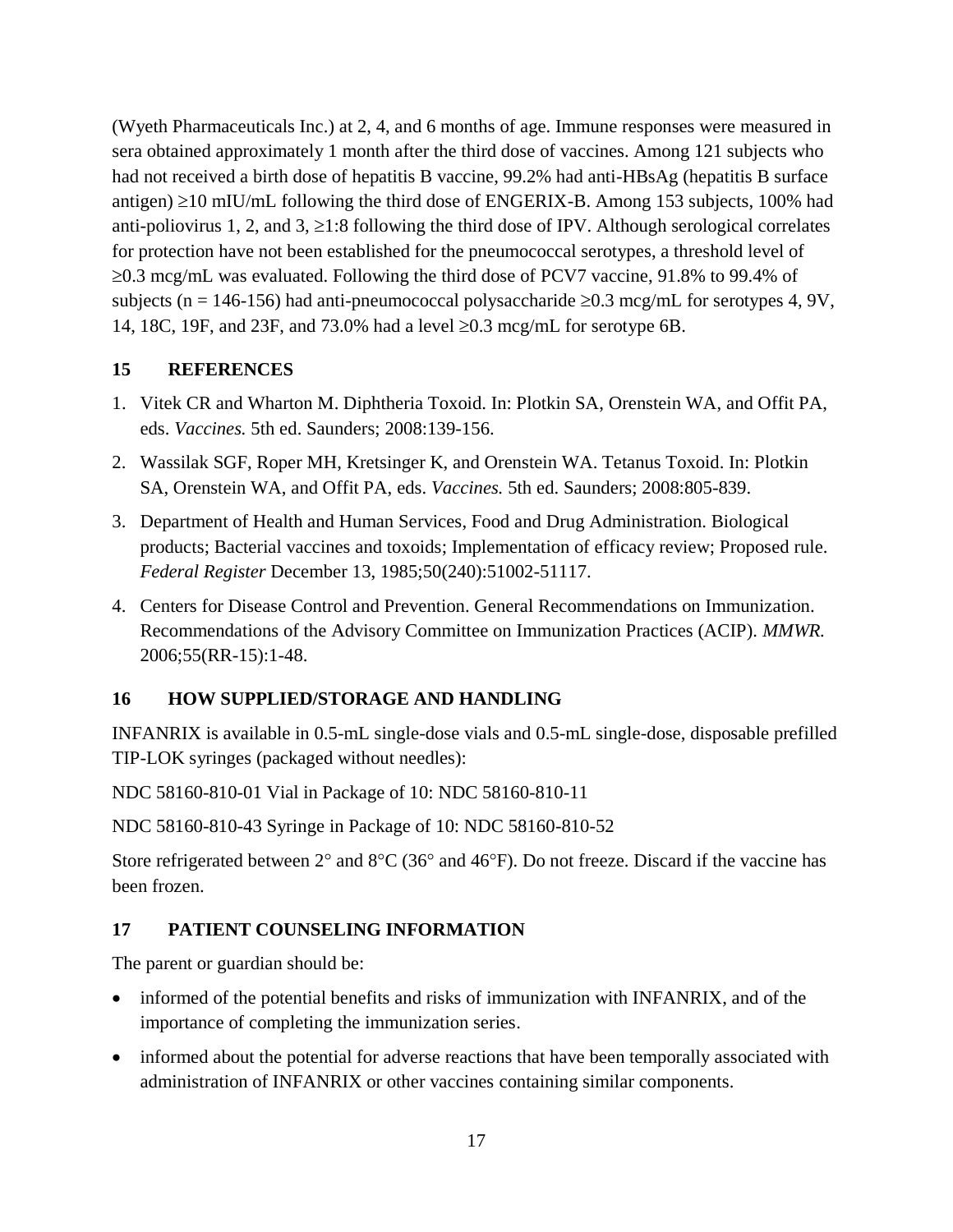(Wyeth Pharmaceuticals Inc.) at 2, 4, and 6 months of age. Immune responses were measured in sera obtained approximately 1 month after the third dose of vaccines. Among 121 subjects who had not received a birth dose of hepatitis B vaccine, 99.2% had anti-HBsAg (hepatitis B surface antigen)  $\geq$ 10 mIU/mL following the third dose of ENGERIX-B. Among 153 subjects, 100% had anti-poliovirus 1, 2, and 3,  $\geq$ 1:8 following the third dose of IPV. Although serological correlates for protection have not been established for the pneumococcal serotypes, a threshold level of  $\geq 0.3$  mcg/mL was evaluated. Following the third dose of PCV7 vaccine, 91.8% to 99.4% of subjects (n = 146-156) had anti-pneumococcal polysaccharide  $\geq 0.3$  mcg/mL for serotypes 4, 9V, 14, 18C, 19F, and 23F, and 73.0% had a level  $\geq 0.3$  mcg/mL for serotype 6B.

#### <span id="page-16-0"></span>**15 REFERENCES**

- 1. Vitek CR and Wharton M. Diphtheria Toxoid. In: Plotkin SA, Orenstein WA, and Offit PA, eds. *Vaccines.* 5th ed. Saunders; 2008:139-156.
- 2. Wassilak SGF, Roper MH, Kretsinger K, and Orenstein WA. Tetanus Toxoid. In: Plotkin SA, Orenstein WA, and Offit PA, eds. *Vaccines.* 5th ed. Saunders; 2008:805-839.
- 3. Department of Health and Human Services, Food and Drug Administration. Biological products; Bacterial vaccines and toxoids; Implementation of efficacy review; Proposed rule. *Federal Register* December 13, 1985;50(240):51002-51117.
- 4. Centers for Disease Control and Prevention. General Recommendations on Immunization. Recommendations of the Advisory Committee on Immunization Practices (ACIP). *MMWR.* 2006;55(RR-15):1-48.

#### <span id="page-16-1"></span>**16 HOW SUPPLIED/STORAGE AND HANDLING**

INFANRIX is available in 0.5-mL single-dose vials and 0.5-mL single-dose, disposable prefilled TIP-LOK syringes (packaged without needles):

NDC 58160-810-01 Vial in Package of 10: NDC 58160-810-11

NDC 58160-810-43 Syringe in Package of 10: NDC 58160-810-52

Store refrigerated between  $2^{\circ}$  and  $8^{\circ}$ C (36 $^{\circ}$  and 46 $^{\circ}$ F). Do not freeze. Discard if the vaccine has been frozen.

#### <span id="page-16-2"></span>**17 PATIENT COUNSELING INFORMATION**

The parent or guardian should be:

- informed of the potential benefits and risks of immunization with INFANRIX, and of the importance of completing the immunization series.
- informed about the potential for adverse reactions that have been temporally associated with administration of INFANRIX or other vaccines containing similar components.